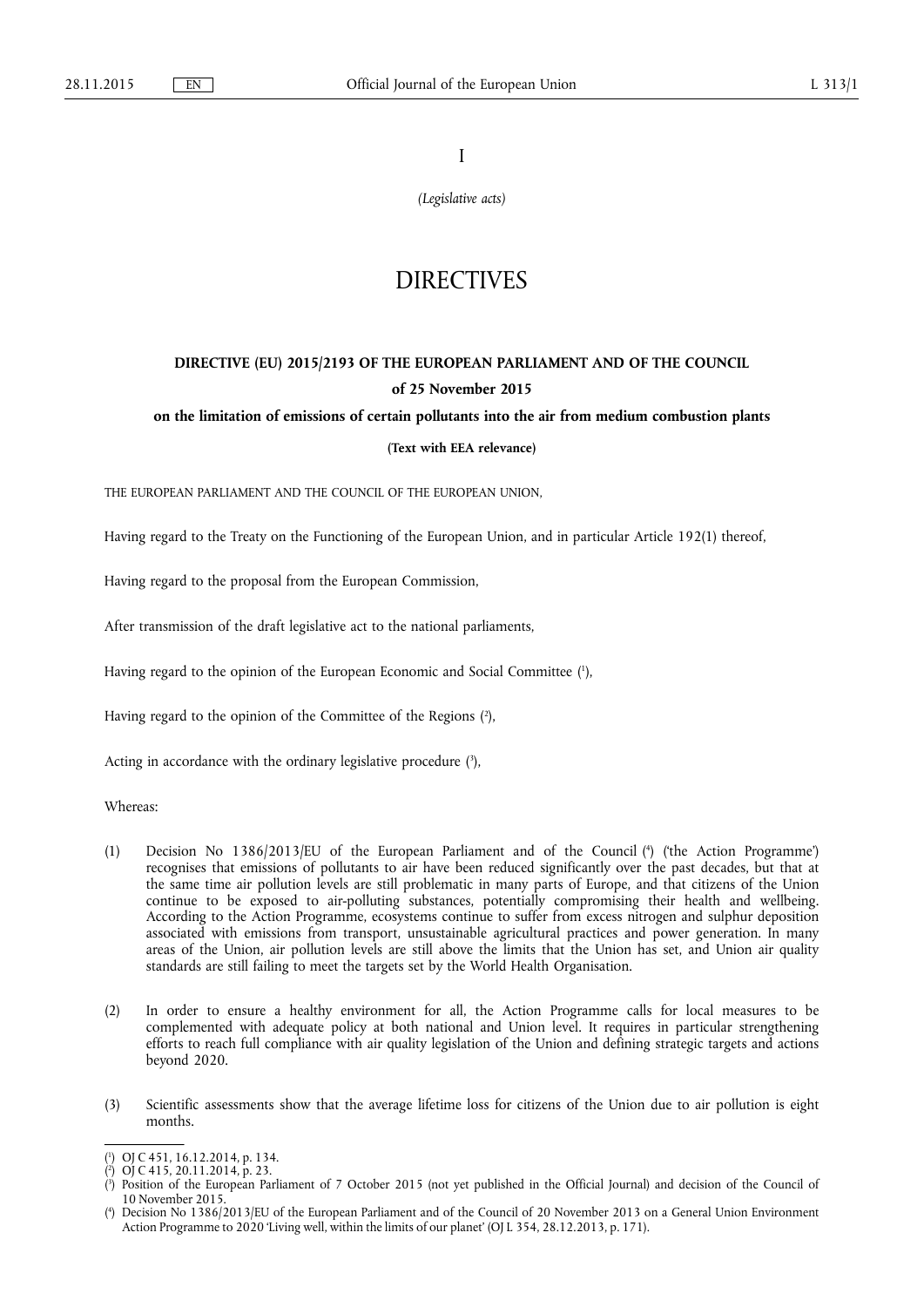I

*(Legislative acts)* 

# **DIRECTIVES**

## **DIRECTIVE (EU) 2015/2193 OF THE EUROPEAN PARLIAMENT AND OF THE COUNCIL of 25 November 2015**

#### **on the limitation of emissions of certain pollutants into the air from medium combustion plants**

## **(Text with EEA relevance)**

THE EUROPEAN PARLIAMENT AND THE COUNCIL OF THE EUROPEAN UNION,

Having regard to the Treaty on the Functioning of the European Union, and in particular Article 192(1) thereof,

Having regard to the proposal from the European Commission,

After transmission of the draft legislative act to the national parliaments,

Having regard to the opinion of the European Economic and Social Committee ( 1 ),

Having regard to the opinion of the Committee of the Regions ( 2 ),

Acting in accordance with the ordinary legislative procedure (3),

Whereas:

- (1) Decision No 1386/2013/EU of the European Parliament and of the Council (<sup>4</sup>) ('the Action Programme') recognises that emissions of pollutants to air have been reduced significantly over the past decades, but that at the same time air pollution levels are still problematic in many parts of Europe, and that citizens of the Union continue to be exposed to air-polluting substances, potentially compromising their health and wellbeing. According to the Action Programme, ecosystems continue to suffer from excess nitrogen and sulphur deposition associated with emissions from transport, unsustainable agricultural practices and power generation. In many areas of the Union, air pollution levels are still above the limits that the Union has set, and Union air quality standards are still failing to meet the targets set by the World Health Organisation.
- (2) In order to ensure a healthy environment for all, the Action Programme calls for local measures to be complemented with adequate policy at both national and Union level. It requires in particular strengthening efforts to reach full compliance with air quality legislation of the Union and defining strategic targets and actions beyond 2020.
- (3) Scientific assessments show that the average lifetime loss for citizens of the Union due to air pollution is eight months.

<sup>(</sup> 1 ) OJ C 451, 16.12.2014, p. 134.

<sup>(</sup> 2 ) OJ C 415, 20.11.2014, p. 23.

<sup>(</sup> 3 ) Position of the European Parliament of 7 October 2015 (not yet published in the Official Journal) and decision of the Council of 10 November 2015.

<sup>(</sup> 4 ) Decision No 1386/2013/EU of the European Parliament and of the Council of 20 November 2013 on a General Union Environment Action Programme to 2020 'Living well, within the limits of our planet' (OJ L 354, 28.12.2013, p. 171).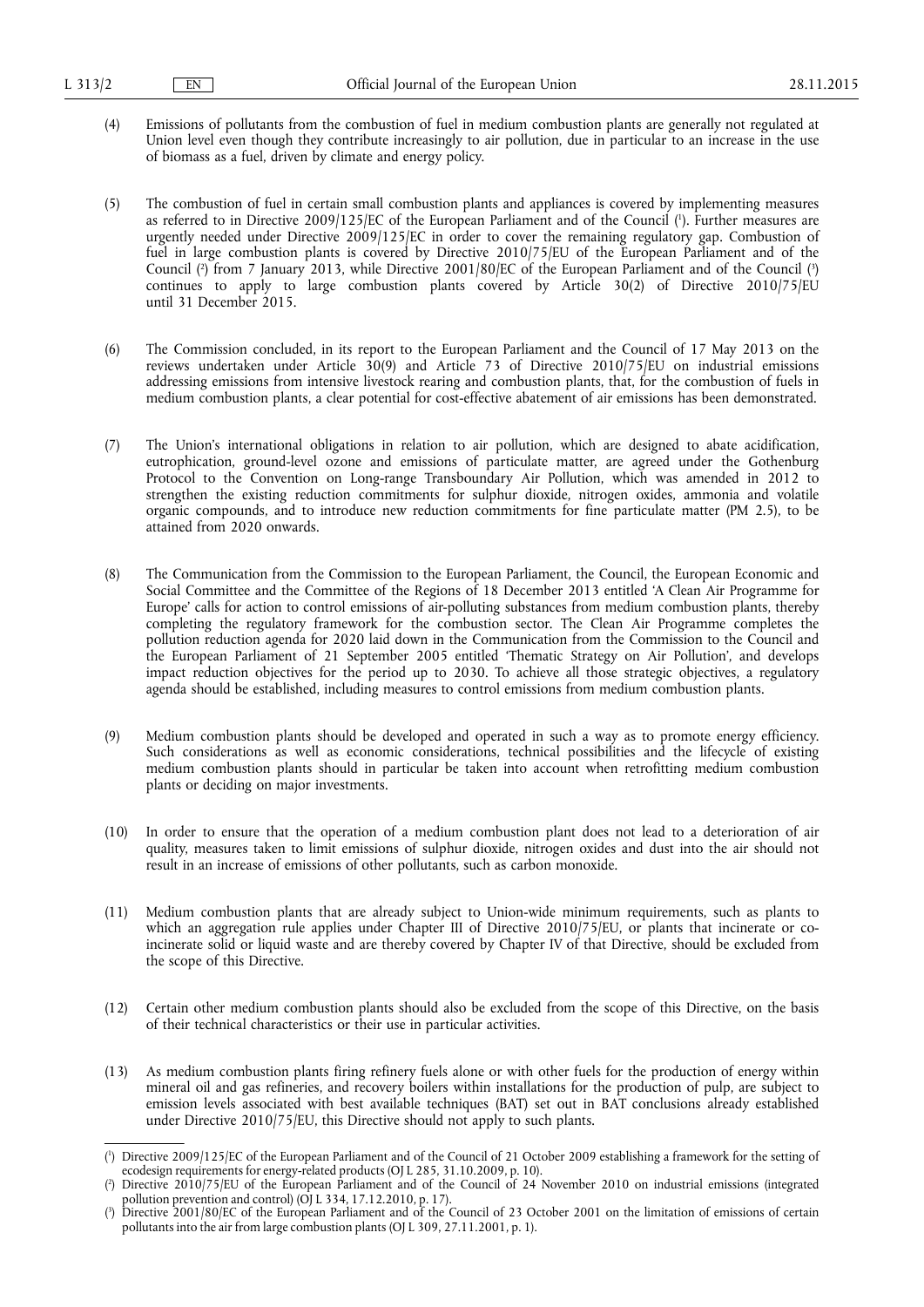- (4) Emissions of pollutants from the combustion of fuel in medium combustion plants are generally not regulated at Union level even though they contribute increasingly to air pollution, due in particular to an increase in the use of biomass as a fuel, driven by climate and energy policy.
- (5) The combustion of fuel in certain small combustion plants and appliances is covered by implementing measures as referred to in Directive 2009/125/EC of the European Parliament and of the Council ( 1 ). Further measures are urgently needed under Directive 2009/125/EC in order to cover the remaining regulatory gap. Combustion of fuel in large combustion plants is covered by Directive 2010/75/EU of the European Parliament and of the Council (?) from 7 January 2013, while Directive 2001/80/EC of the European Parliament and of the Council (?) continues to apply to large combustion plants covered by Article 30(2) of Directive 2010/75/EU until 31 December 2015.
- (6) The Commission concluded, in its report to the European Parliament and the Council of 17 May 2013 on the reviews undertaken under Article 30(9) and Article 73 of Directive 2010/75/EU on industrial emissions addressing emissions from intensive livestock rearing and combustion plants, that, for the combustion of fuels in medium combustion plants, a clear potential for cost-effective abatement of air emissions has been demonstrated.
- (7) The Union's international obligations in relation to air pollution, which are designed to abate acidification, eutrophication, ground-level ozone and emissions of particulate matter, are agreed under the Gothenburg Protocol to the Convention on Long-range Transboundary Air Pollution, which was amended in 2012 to strengthen the existing reduction commitments for sulphur dioxide, nitrogen oxides, ammonia and volatile organic compounds, and to introduce new reduction commitments for fine particulate matter (PM 2.5), to be attained from 2020 onwards.
- (8) The Communication from the Commission to the European Parliament, the Council, the European Economic and Social Committee and the Committee of the Regions of 18 December 2013 entitled 'A Clean Air Programme for Europe' calls for action to control emissions of air-polluting substances from medium combustion plants, thereby completing the regulatory framework for the combustion sector. The Clean Air Programme completes the pollution reduction agenda for 2020 laid down in the Communication from the Commission to the Council and the European Parliament of 21 September 2005 entitled 'Thematic Strategy on Air Pollution', and develops impact reduction objectives for the period up to 2030. To achieve all those strategic objectives, a regulatory agenda should be established, including measures to control emissions from medium combustion plants.
- (9) Medium combustion plants should be developed and operated in such a way as to promote energy efficiency. Such considerations as well as economic considerations, technical possibilities and the lifecycle of existing medium combustion plants should in particular be taken into account when retrofitting medium combustion plants or deciding on major investments.
- (10) In order to ensure that the operation of a medium combustion plant does not lead to a deterioration of air quality, measures taken to limit emissions of sulphur dioxide, nitrogen oxides and dust into the air should not result in an increase of emissions of other pollutants, such as carbon monoxide.
- (11) Medium combustion plants that are already subject to Union-wide minimum requirements, such as plants to which an aggregation rule applies under Chapter III of Directive 2010/75/EU, or plants that incinerate or coincinerate solid or liquid waste and are thereby covered by Chapter IV of that Directive, should be excluded from the scope of this Directive.
- (12) Certain other medium combustion plants should also be excluded from the scope of this Directive, on the basis of their technical characteristics or their use in particular activities.
- (13) As medium combustion plants firing refinery fuels alone or with other fuels for the production of energy within mineral oil and gas refineries, and recovery boilers within installations for the production of pulp, are subject to emission levels associated with best available techniques (BAT) set out in BAT conclusions already established under Directive 2010/75/EU, this Directive should not apply to such plants.

<sup>(</sup> 1 ) Directive 2009/125/EC of the European Parliament and of the Council of 21 October 2009 establishing a framework for the setting of ecodesign requirements for energy-related products (OJ L 285, 31.10.2009, p. 10).

<sup>(</sup> 2 ) Directive 2010/75/EU of the European Parliament and of the Council of 24 November 2010 on industrial emissions (integrated pollution prevention and control) ( $\overrightarrow{O}$  L 334, 17.12.2010, p. 17).

<sup>(</sup> 3 ) Directive 2001/80/EC of the European Parliament and of the Council of 23 October 2001 on the limitation of emissions of certain pollutants into the air from large combustion plants (OJ L 309, 27.11.2001, p. 1).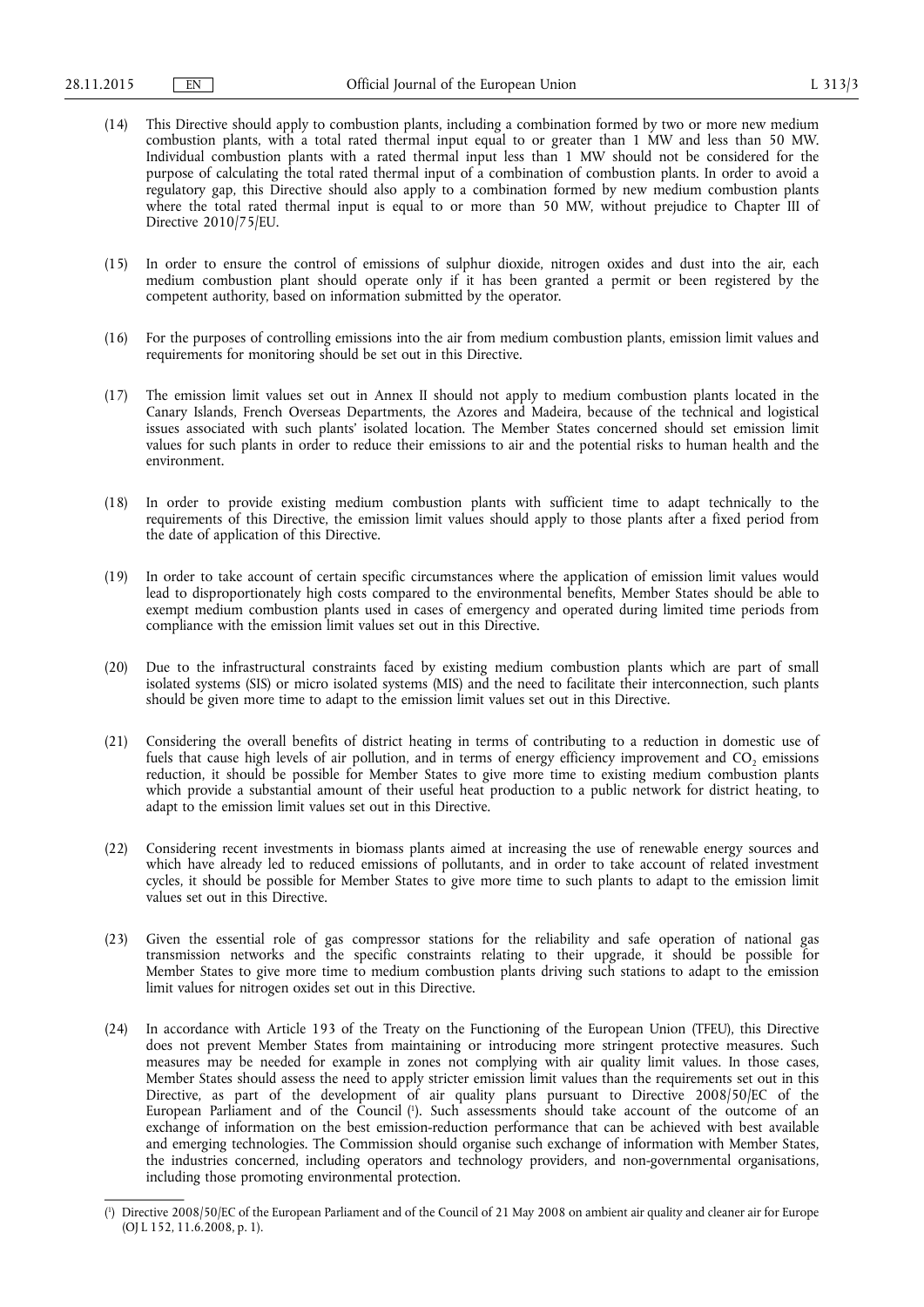- (14) This Directive should apply to combustion plants, including a combination formed by two or more new medium combustion plants, with a total rated thermal input equal to or greater than 1 MW and less than 50 MW. Individual combustion plants with a rated thermal input less than 1 MW should not be considered for the purpose of calculating the total rated thermal input of a combination of combustion plants. In order to avoid a regulatory gap, this Directive should also apply to a combination formed by new medium combustion plants where the total rated thermal input is equal to or more than 50 MW, without prejudice to Chapter III of Directive 2010/75/EU.
- (15) In order to ensure the control of emissions of sulphur dioxide, nitrogen oxides and dust into the air, each medium combustion plant should operate only if it has been granted a permit or been registered by the competent authority, based on information submitted by the operator.
- (16) For the purposes of controlling emissions into the air from medium combustion plants, emission limit values and requirements for monitoring should be set out in this Directive.
- (17) The emission limit values set out in Annex II should not apply to medium combustion plants located in the Canary Islands, French Overseas Departments, the Azores and Madeira, because of the technical and logistical issues associated with such plants' isolated location. The Member States concerned should set emission limit values for such plants in order to reduce their emissions to air and the potential risks to human health and the environment.
- (18) In order to provide existing medium combustion plants with sufficient time to adapt technically to the requirements of this Directive, the emission limit values should apply to those plants after a fixed period from the date of application of this Directive.
- (19) In order to take account of certain specific circumstances where the application of emission limit values would lead to disproportionately high costs compared to the environmental benefits, Member States should be able to exempt medium combustion plants used in cases of emergency and operated during limited time periods from compliance with the emission limit values set out in this Directive.
- (20) Due to the infrastructural constraints faced by existing medium combustion plants which are part of small isolated systems (SIS) or micro isolated systems (MIS) and the need to facilitate their interconnection, such plants should be given more time to adapt to the emission limit values set out in this Directive.
- (21) Considering the overall benefits of district heating in terms of contributing to a reduction in domestic use of fuels that cause high levels of air pollution, and in terms of energy efficiency improvement and CO<sub>2</sub> emissions reduction, it should be possible for Member States to give more time to existing medium combustion plants which provide a substantial amount of their useful heat production to a public network for district heating, to adapt to the emission limit values set out in this Directive.
- (22) Considering recent investments in biomass plants aimed at increasing the use of renewable energy sources and which have already led to reduced emissions of pollutants, and in order to take account of related investment cycles, it should be possible for Member States to give more time to such plants to adapt to the emission limit values set out in this Directive.
- (23) Given the essential role of gas compressor stations for the reliability and safe operation of national gas transmission networks and the specific constraints relating to their upgrade, it should be possible for Member States to give more time to medium combustion plants driving such stations to adapt to the emission limit values for nitrogen oxides set out in this Directive.
- (24) In accordance with Article 193 of the Treaty on the Functioning of the European Union (TFEU), this Directive does not prevent Member States from maintaining or introducing more stringent protective measures. Such measures may be needed for example in zones not complying with air quality limit values. In those cases, Member States should assess the need to apply stricter emission limit values than the requirements set out in this Directive, as part of the development of air quality plans pursuant to Directive 2008/50/EC of the European Parliament and of the Council ( 1 ). Such assessments should take account of the outcome of an exchange of information on the best emission-reduction performance that can be achieved with best available and emerging technologies. The Commission should organise such exchange of information with Member States, the industries concerned, including operators and technology providers, and non-governmental organisations, including those promoting environmental protection.

<sup>(</sup> 1 ) Directive 2008/50/EC of the European Parliament and of the Council of 21 May 2008 on ambient air quality and cleaner air for Europe (OJ L 152, 11.6.2008, p. 1).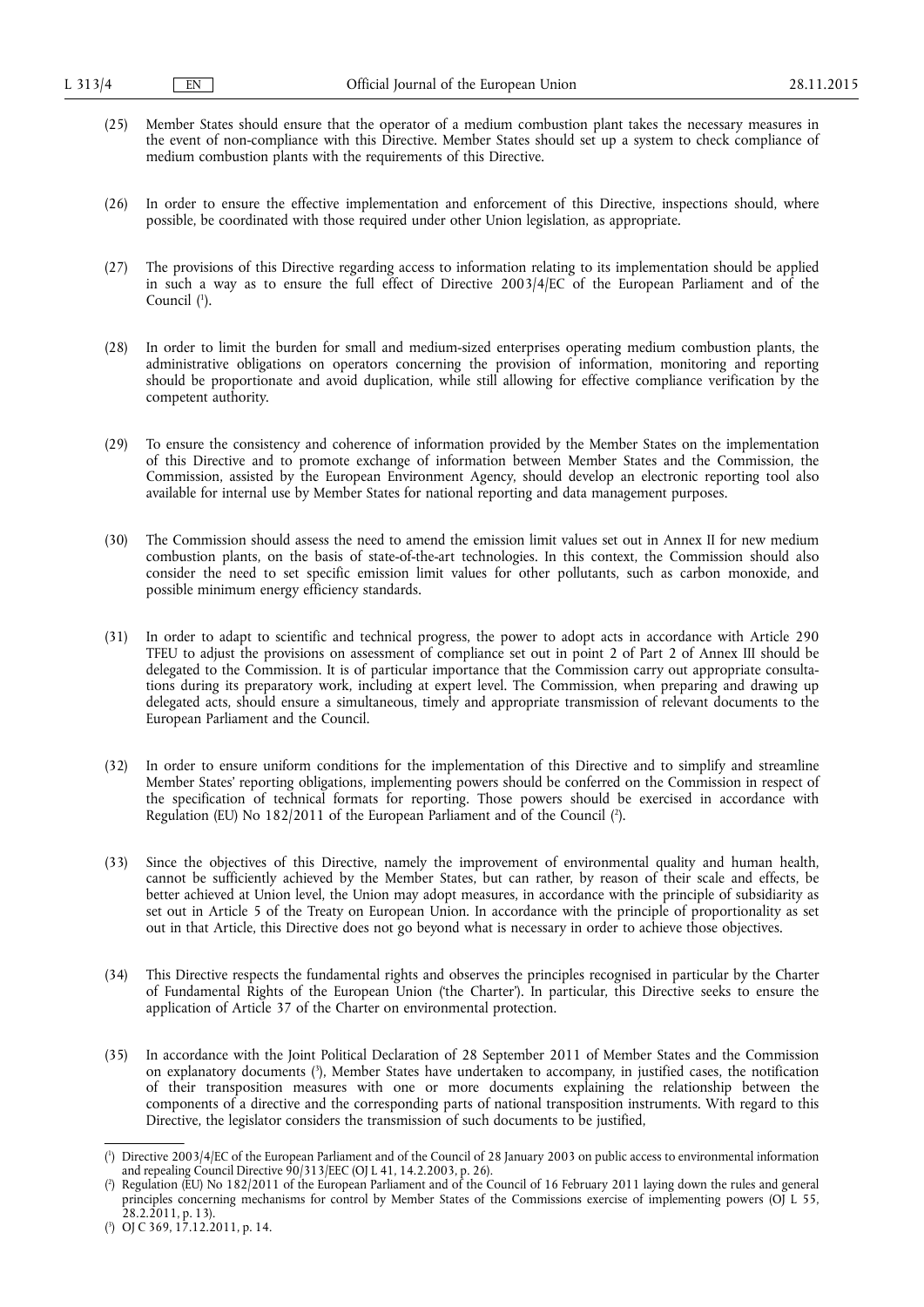- (25) Member States should ensure that the operator of a medium combustion plant takes the necessary measures in the event of non-compliance with this Directive. Member States should set up a system to check compliance of medium combustion plants with the requirements of this Directive.
- (26) In order to ensure the effective implementation and enforcement of this Directive, inspections should, where possible, be coordinated with those required under other Union legislation, as appropriate.
- (27) The provisions of this Directive regarding access to information relating to its implementation should be applied in such a way as to ensure the full effect of Directive 2003/4/EC of the European Parliament and of the Council (<sup>1</sup>).
- (28) In order to limit the burden for small and medium-sized enterprises operating medium combustion plants, the administrative obligations on operators concerning the provision of information, monitoring and reporting should be proportionate and avoid duplication, while still allowing for effective compliance verification by the competent authority.
- (29) To ensure the consistency and coherence of information provided by the Member States on the implementation of this Directive and to promote exchange of information between Member States and the Commission, the Commission, assisted by the European Environment Agency, should develop an electronic reporting tool also available for internal use by Member States for national reporting and data management purposes.
- (30) The Commission should assess the need to amend the emission limit values set out in Annex II for new medium combustion plants, on the basis of state-of-the-art technologies. In this context, the Commission should also consider the need to set specific emission limit values for other pollutants, such as carbon monoxide, and possible minimum energy efficiency standards.
- (31) In order to adapt to scientific and technical progress, the power to adopt acts in accordance with Article 290 TFEU to adjust the provisions on assessment of compliance set out in point 2 of Part 2 of Annex III should be delegated to the Commission. It is of particular importance that the Commission carry out appropriate consultations during its preparatory work, including at expert level. The Commission, when preparing and drawing up delegated acts, should ensure a simultaneous, timely and appropriate transmission of relevant documents to the European Parliament and the Council.
- (32) In order to ensure uniform conditions for the implementation of this Directive and to simplify and streamline Member States' reporting obligations, implementing powers should be conferred on the Commission in respect of the specification of technical formats for reporting. Those powers should be exercised in accordance with Regulation (EU) No 182/2011 of the European Parliament and of the Council ( 2 ).
- (33) Since the objectives of this Directive, namely the improvement of environmental quality and human health, cannot be sufficiently achieved by the Member States, but can rather, by reason of their scale and effects, be better achieved at Union level, the Union may adopt measures, in accordance with the principle of subsidiarity as set out in Article 5 of the Treaty on European Union. In accordance with the principle of proportionality as set out in that Article, this Directive does not go beyond what is necessary in order to achieve those objectives.
- (34) This Directive respects the fundamental rights and observes the principles recognised in particular by the Charter of Fundamental Rights of the European Union ('the Charter'). In particular, this Directive seeks to ensure the application of Article 37 of the Charter on environmental protection.
- (35) In accordance with the Joint Political Declaration of 28 September 2011 of Member States and the Commission on explanatory documents ( 3 ), Member States have undertaken to accompany, in justified cases, the notification of their transposition measures with one or more documents explaining the relationship between the components of a directive and the corresponding parts of national transposition instruments. With regard to this Directive, the legislator considers the transmission of such documents to be justified,

<sup>(</sup> 1 ) Directive 2003/4/EC of the European Parliament and of the Council of 28 January 2003 on public access to environmental information and repealing Council Directive 90/313/EEC (OJ L 41, 14.2.2003, p. 26).

<sup>(</sup> 2 ) Regulation (EU) No 182/2011 of the European Parliament and of the Council of 16 February 2011 laying down the rules and general principles concerning mechanisms for control by Member States of the Commissions exercise of implementing powers (OJ L 55, 28.2.2011, p. 13).

<sup>(</sup> 3 ) OJ C 369, 17.12.2011, p. 14.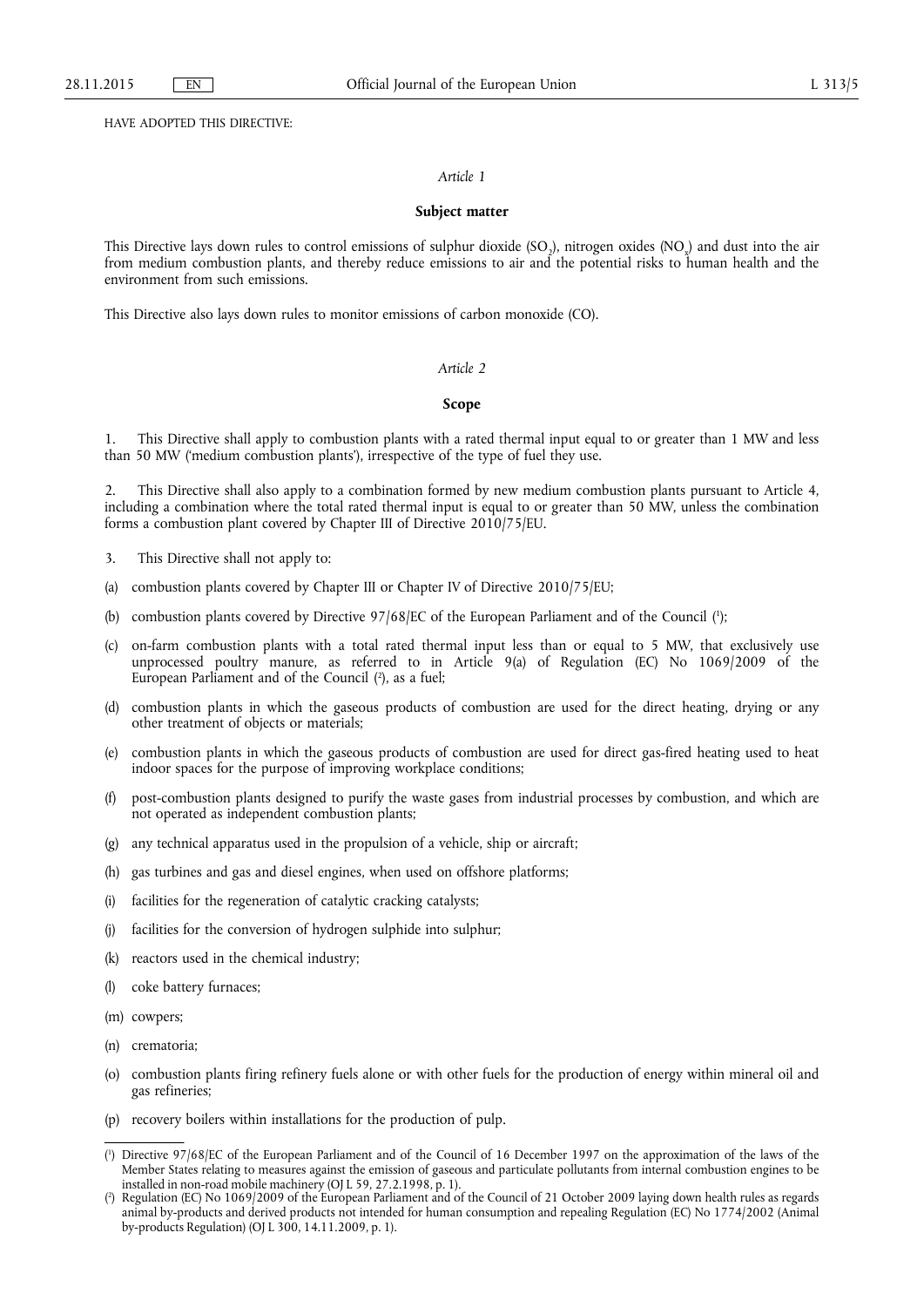HAVE ADOPTED THIS DIRECTIVE:

#### *Article 1*

#### **Subject matter**

This Directive lays down rules to control emissions of sulphur dioxide (SO<sub>2</sub>), nitrogen oxides (NO<sub>2</sub>) and dust into the air from medium combustion plants, and thereby reduce emissions to air and the potential risks to human health and the environment from such emissions.

This Directive also lays down rules to monitor emissions of carbon monoxide (CO).

#### *Article 2*

#### **Scope**

1. This Directive shall apply to combustion plants with a rated thermal input equal to or greater than 1 MW and less than 50 MW ('medium combustion plants'), irrespective of the type of fuel they use.

2. This Directive shall also apply to a combination formed by new medium combustion plants pursuant to Article 4, including a combination where the total rated thermal input is equal to or greater than 50 MW, unless the combination forms a combustion plant covered by Chapter III of Directive 2010/75/EU.

- 3. This Directive shall not apply to:
- (a) combustion plants covered by Chapter III or Chapter IV of Directive 2010/75/EU;
- (b) combustion plants covered by Directive 97/68/EC of the European Parliament and of the Council ( 1 );
- (c) on-farm combustion plants with a total rated thermal input less than or equal to 5 MW, that exclusively use unprocessed poultry manure, as referred to in Article 9(a) of Regulation (EC) No 1069/2009 of the European Parliament and of the Council ( 2 ), as a fuel;
- (d) combustion plants in which the gaseous products of combustion are used for the direct heating, drying or any other treatment of objects or materials;
- (e) combustion plants in which the gaseous products of combustion are used for direct gas-fired heating used to heat indoor spaces for the purpose of improving workplace conditions;
- (f) post-combustion plants designed to purify the waste gases from industrial processes by combustion, and which are not operated as independent combustion plants;
- (g) any technical apparatus used in the propulsion of a vehicle, ship or aircraft;
- (h) gas turbines and gas and diesel engines, when used on offshore platforms;
- (i) facilities for the regeneration of catalytic cracking catalysts;
- (j) facilities for the conversion of hydrogen sulphide into sulphur;
- (k) reactors used in the chemical industry;
- (l) coke battery furnaces;
- (m) cowpers;
- (n) crematoria;
- (o) combustion plants firing refinery fuels alone or with other fuels for the production of energy within mineral oil and gas refineries;
- (p) recovery boilers within installations for the production of pulp.

<sup>(</sup> 1 ) Directive 97/68/EC of the European Parliament and of the Council of 16 December 1997 on the approximation of the laws of the Member States relating to measures against the emission of gaseous and particulate pollutants from internal combustion engines to be installed in non-road mobile machinery (OJ L 59, 27.2.1998, p. 1).

<sup>(</sup> 2 ) Regulation (EC) No 1069/2009 of the European Parliament and of the Council of 21 October 2009 laying down health rules as regards animal by-products and derived products not intended for human consumption and repealing Regulation (EC) No 1774/2002 (Animal by-products Regulation) (OJ L 300, 14.11.2009, p. 1).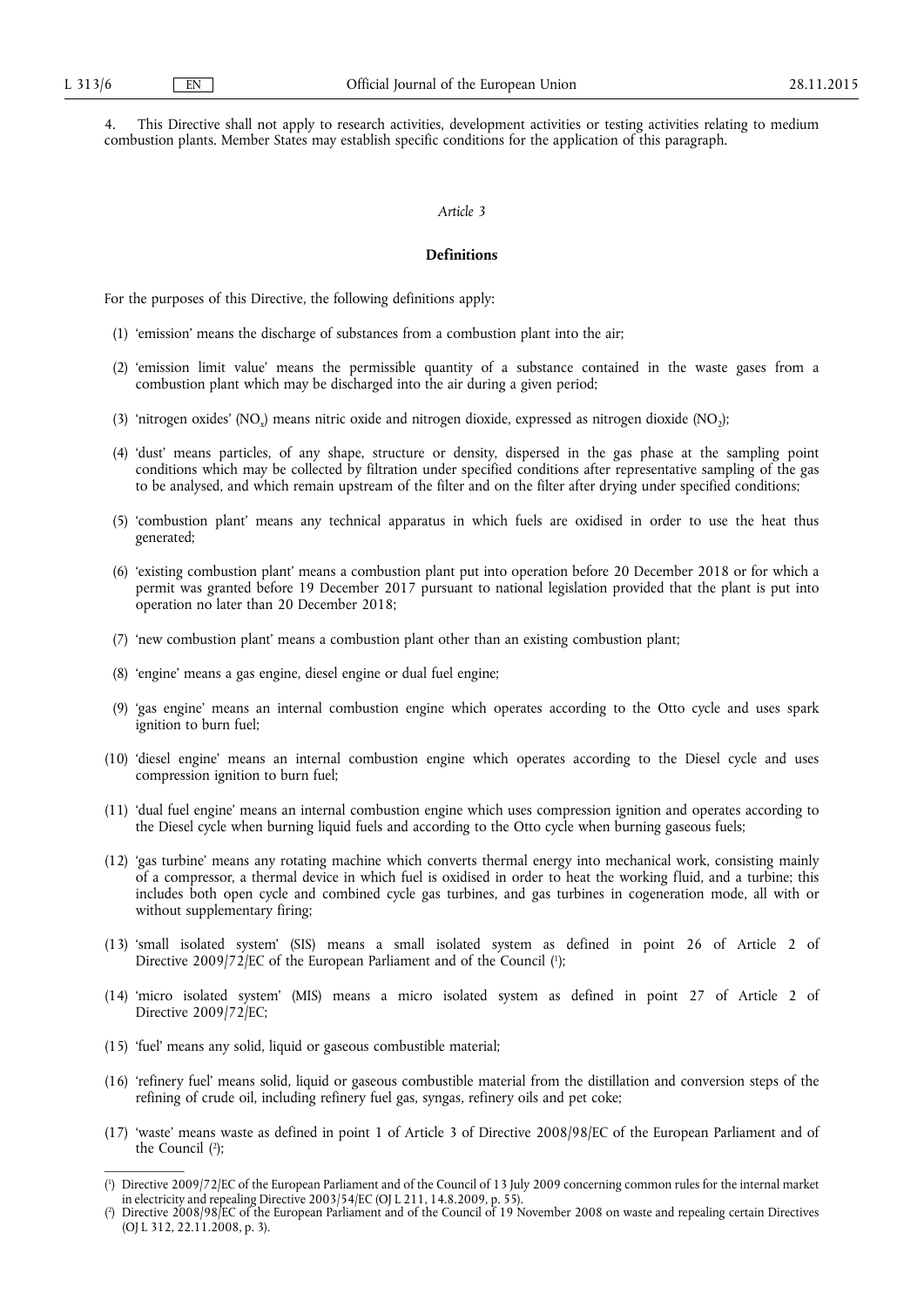4. This Directive shall not apply to research activities, development activities or testing activities relating to medium combustion plants. Member States may establish specific conditions for the application of this paragraph.

#### *Article 3*

#### **Definitions**

For the purposes of this Directive, the following definitions apply:

- (1) 'emission' means the discharge of substances from a combustion plant into the air;
- (2) 'emission limit value' means the permissible quantity of a substance contained in the waste gases from a combustion plant which may be discharged into the air during a given period;
- (3) 'nitrogen oxides' (NO<sub>2</sub>) means nitric oxide and nitrogen dioxide, expressed as nitrogen dioxide (NO<sub>2</sub>);
- (4) 'dust' means particles, of any shape, structure or density, dispersed in the gas phase at the sampling point conditions which may be collected by filtration under specified conditions after representative sampling of the gas to be analysed, and which remain upstream of the filter and on the filter after drying under specified conditions;
- (5) 'combustion plant' means any technical apparatus in which fuels are oxidised in order to use the heat thus generated;
- (6) 'existing combustion plant' means a combustion plant put into operation before 20 December 2018 or for which a permit was granted before 19 December 2017 pursuant to national legislation provided that the plant is put into operation no later than 20 December 2018;
- (7) 'new combustion plant' means a combustion plant other than an existing combustion plant;
- (8) 'engine' means a gas engine, diesel engine or dual fuel engine;
- (9) 'gas engine' means an internal combustion engine which operates according to the Otto cycle and uses spark ignition to burn fuel;
- (10) 'diesel engine' means an internal combustion engine which operates according to the Diesel cycle and uses compression ignition to burn fuel;
- (11) 'dual fuel engine' means an internal combustion engine which uses compression ignition and operates according to the Diesel cycle when burning liquid fuels and according to the Otto cycle when burning gaseous fuels;
- (12) 'gas turbine' means any rotating machine which converts thermal energy into mechanical work, consisting mainly of a compressor, a thermal device in which fuel is oxidised in order to heat the working fluid, and a turbine; this includes both open cycle and combined cycle gas turbines, and gas turbines in cogeneration mode, all with or without supplementary firing;
- (13) 'small isolated system' (SIS) means a small isolated system as defined in point 26 of Article 2 of Directive 2009/72/EC of the European Parliament and of the Council (1);
- (14) 'micro isolated system' (MIS) means a micro isolated system as defined in point 27 of Article 2 of Directive 2009/72/EC;
- (15) 'fuel' means any solid, liquid or gaseous combustible material;
- (16) 'refinery fuel' means solid, liquid or gaseous combustible material from the distillation and conversion steps of the refining of crude oil, including refinery fuel gas, syngas, refinery oils and pet coke;
- (17) 'waste' means waste as defined in point 1 of Article 3 of Directive 2008/98/EC of the European Parliament and of the Council ( 2 );

<sup>(</sup> 1 ) Directive 2009/72/EC of the European Parliament and of the Council of 13 July 2009 concerning common rules for the internal market in electricity and repealing Directive 2003/54/EC (OJ L 211, 14.8.2009, p. 55).

<sup>(</sup> 2 ) Directive 2008/98/EC of the European Parliament and of the Council of 19 November 2008 on waste and repealing certain Directives (OJ L 312, 22.11.2008, p. 3).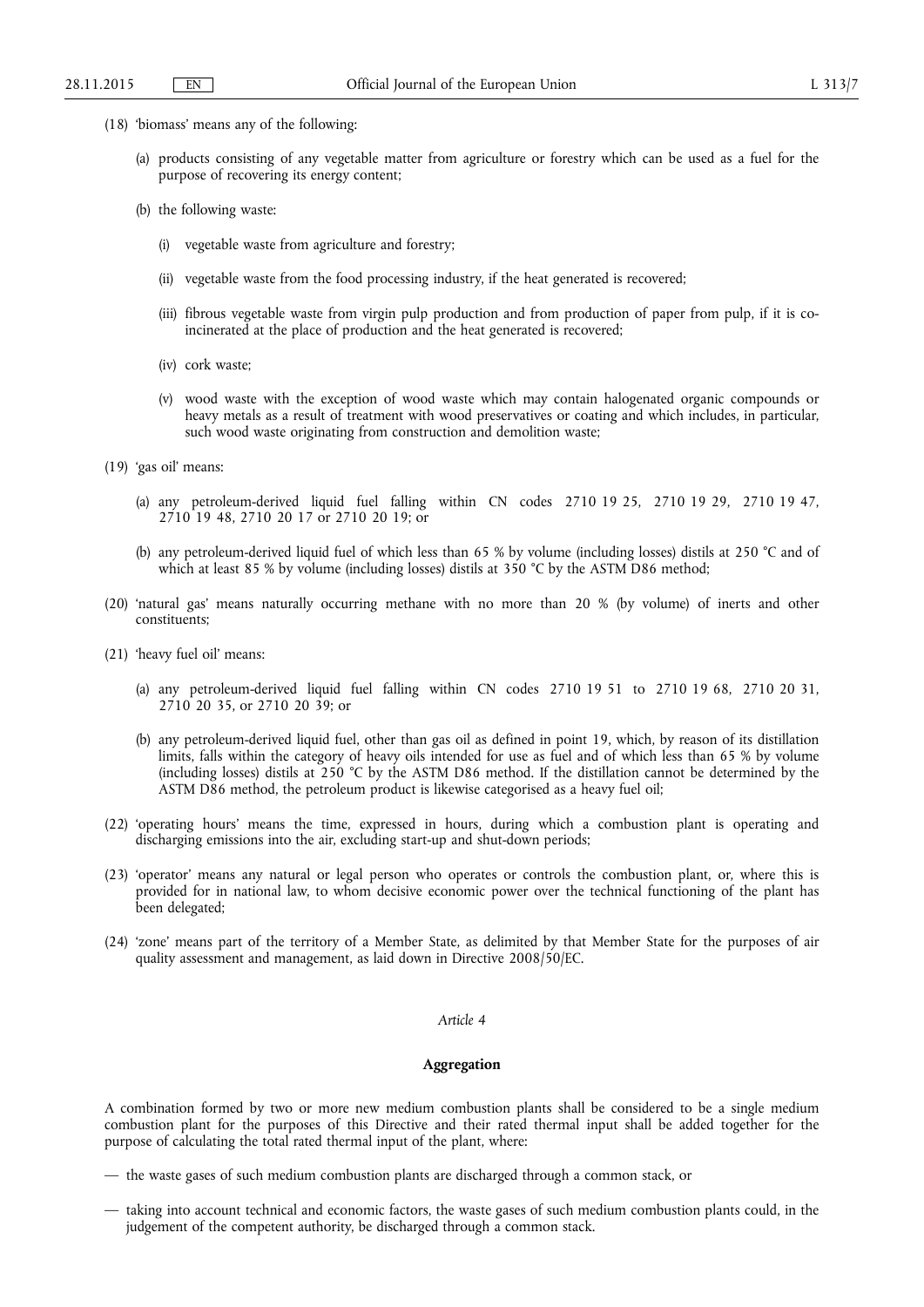- (18) 'biomass' means any of the following:
	- (a) products consisting of any vegetable matter from agriculture or forestry which can be used as a fuel for the purpose of recovering its energy content;
	- (b) the following waste:
		- (i) vegetable waste from agriculture and forestry;
		- (ii) vegetable waste from the food processing industry, if the heat generated is recovered;
		- (iii) fibrous vegetable waste from virgin pulp production and from production of paper from pulp, if it is coincinerated at the place of production and the heat generated is recovered;
		- (iv) cork waste;
		- (v) wood waste with the exception of wood waste which may contain halogenated organic compounds or heavy metals as a result of treatment with wood preservatives or coating and which includes, in particular, such wood waste originating from construction and demolition waste;
- (19) 'gas oil' means:
	- (a) any petroleum-derived liquid fuel falling within CN codes 2710 19 25, 2710 19 29, 2710 19 47, 2710 19 48, 2710 20 17 or 2710 20 19; or
	- (b) any petroleum-derived liquid fuel of which less than 65 % by volume (including losses) distils at 250 °C and of which at least 85 % by volume (including losses) distils at 350 °C by the ASTM D86 method;
- (20) 'natural gas' means naturally occurring methane with no more than 20 % (by volume) of inerts and other constituents;
- (21) 'heavy fuel oil' means:
	- (a) any petroleum-derived liquid fuel falling within CN codes 2710 19 51 to 2710 19 68, 2710 20 31, 2710 20 35, or 2710 20 39; or
	- (b) any petroleum-derived liquid fuel, other than gas oil as defined in point 19, which, by reason of its distillation limits, falls within the category of heavy oils intended for use as fuel and of which less than 65 % by volume (including losses) distils at 250 °C by the ASTM D86 method. If the distillation cannot be determined by the ASTM D86 method, the petroleum product is likewise categorised as a heavy fuel oil;
- (22) 'operating hours' means the time, expressed in hours, during which a combustion plant is operating and discharging emissions into the air, excluding start-up and shut-down periods;
- (23) 'operator' means any natural or legal person who operates or controls the combustion plant, or, where this is provided for in national law, to whom decisive economic power over the technical functioning of the plant has been delegated;
- (24) 'zone' means part of the territory of a Member State, as delimited by that Member State for the purposes of air quality assessment and management, as laid down in Directive 2008/50/EC.

## *Article 4*

#### **Aggregation**

A combination formed by two or more new medium combustion plants shall be considered to be a single medium combustion plant for the purposes of this Directive and their rated thermal input shall be added together for the purpose of calculating the total rated thermal input of the plant, where:

— the waste gases of such medium combustion plants are discharged through a common stack, or

<sup>—</sup> taking into account technical and economic factors, the waste gases of such medium combustion plants could, in the judgement of the competent authority, be discharged through a common stack.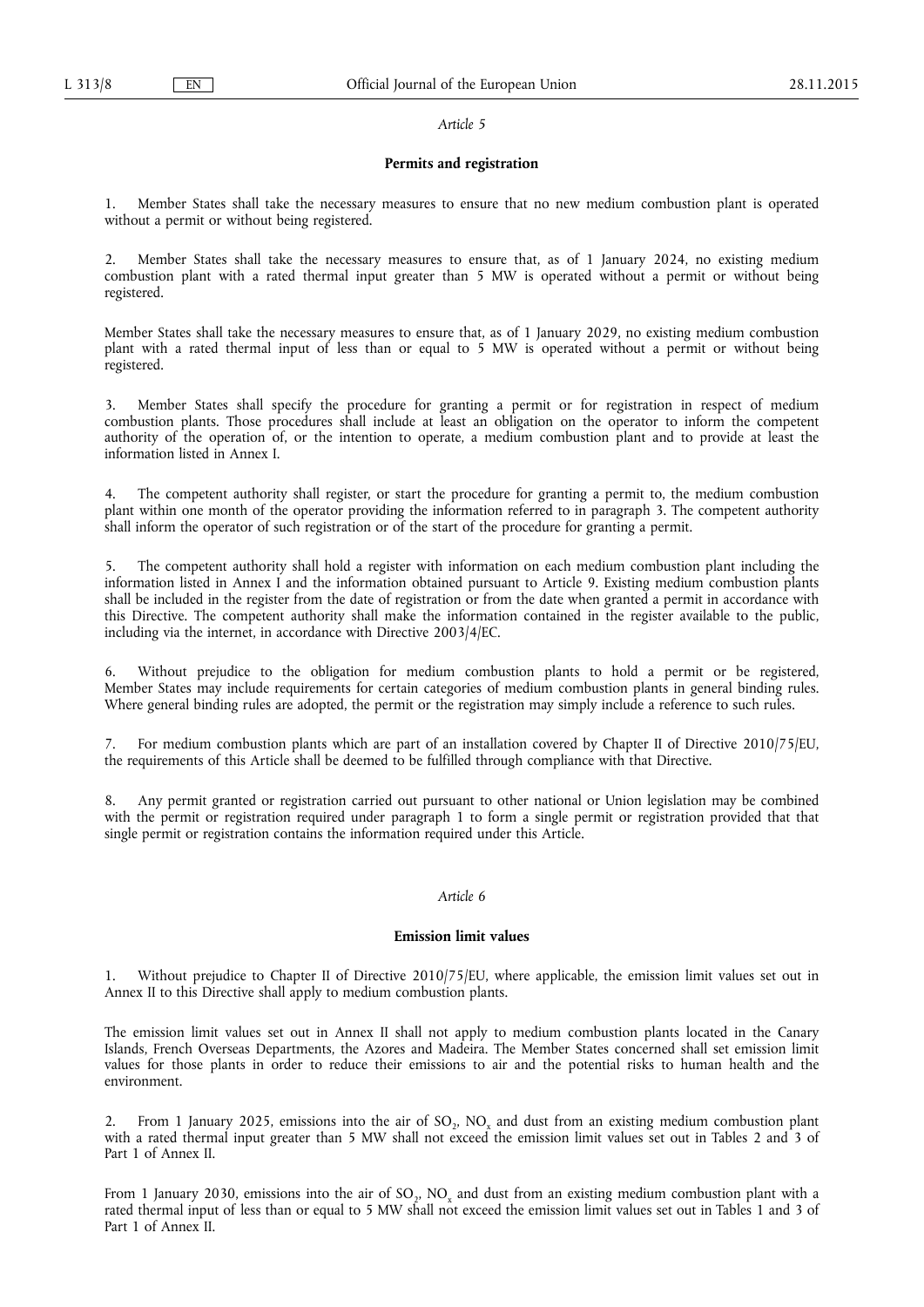#### *Article 5*

#### **Permits and registration**

1. Member States shall take the necessary measures to ensure that no new medium combustion plant is operated without a permit or without being registered.

2. Member States shall take the necessary measures to ensure that, as of 1 January 2024, no existing medium combustion plant with a rated thermal input greater than 5 MW is operated without a permit or without being registered.

Member States shall take the necessary measures to ensure that, as of 1 January 2029, no existing medium combustion plant with a rated thermal input of less than or equal to 5 MW is operated without a permit or without being registered.

3. Member States shall specify the procedure for granting a permit or for registration in respect of medium combustion plants. Those procedures shall include at least an obligation on the operator to inform the competent authority of the operation of, or the intention to operate, a medium combustion plant and to provide at least the information listed in Annex I.

The competent authority shall register, or start the procedure for granting a permit to, the medium combustion plant within one month of the operator providing the information referred to in paragraph 3. The competent authority shall inform the operator of such registration or of the start of the procedure for granting a permit.

5. The competent authority shall hold a register with information on each medium combustion plant including the information listed in Annex I and the information obtained pursuant to Article 9. Existing medium combustion plants shall be included in the register from the date of registration or from the date when granted a permit in accordance with this Directive. The competent authority shall make the information contained in the register available to the public, including via the internet, in accordance with Directive 2003/4/EC.

6. Without prejudice to the obligation for medium combustion plants to hold a permit or be registered, Member States may include requirements for certain categories of medium combustion plants in general binding rules. Where general binding rules are adopted, the permit or the registration may simply include a reference to such rules.

7. For medium combustion plants which are part of an installation covered by Chapter II of Directive 2010/75/EU, the requirements of this Article shall be deemed to be fulfilled through compliance with that Directive.

8. Any permit granted or registration carried out pursuant to other national or Union legislation may be combined with the permit or registration required under paragraph 1 to form a single permit or registration provided that that single permit or registration contains the information required under this Article.

## *Article 6*

#### **Emission limit values**

1. Without prejudice to Chapter II of Directive 2010/75/EU, where applicable, the emission limit values set out in Annex II to this Directive shall apply to medium combustion plants.

The emission limit values set out in Annex II shall not apply to medium combustion plants located in the Canary Islands, French Overseas Departments, the Azores and Madeira. The Member States concerned shall set emission limit values for those plants in order to reduce their emissions to air and the potential risks to human health and the environment.

From 1 January 2025, emissions into the air of SO<sub>2</sub>, NO<sub>x</sub> and dust from an existing medium combustion plant with a rated thermal input greater than 5 MW shall not exceed the emission limit values set out in Tables 2 and 3 of Part 1 of Annex II.

From 1 January 2030, emissions into the air of  $SO_2$ , NO<sub>x</sub> and dust from an existing medium combustion plant with a rated thermal input of less than or equal to 5 MW shall not exceed the emission limit values set out in Tables 1 and 3 of Part 1 of Annex II.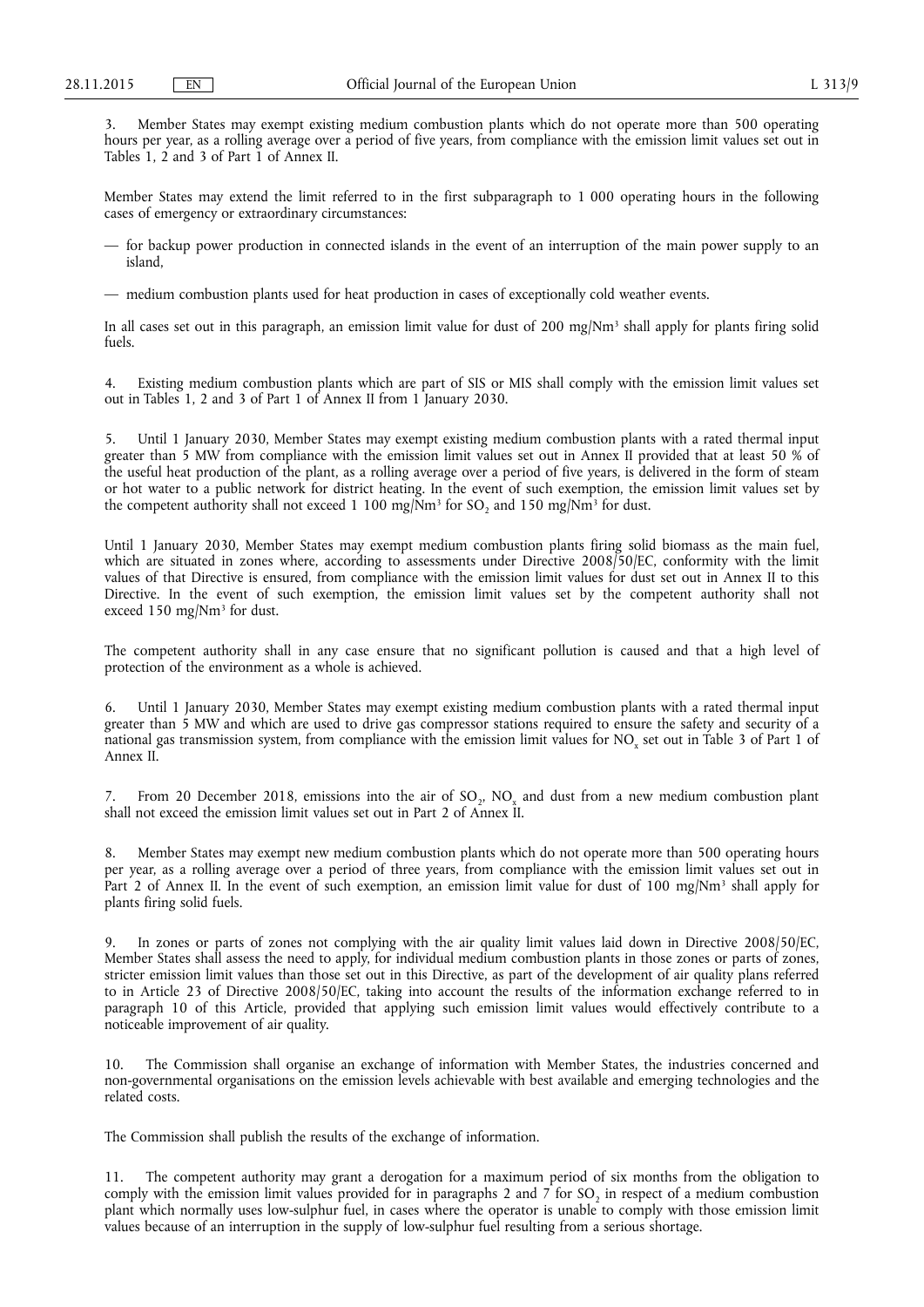3. Member States may exempt existing medium combustion plants which do not operate more than 500 operating hours per year, as a rolling average over a period of five years, from compliance with the emission limit values set out in Tables 1, 2 and 3 of Part 1 of Annex II.

Member States may extend the limit referred to in the first subparagraph to 1 000 operating hours in the following cases of emergency or extraordinary circumstances:

— for backup power production in connected islands in the event of an interruption of the main power supply to an island,

— medium combustion plants used for heat production in cases of exceptionally cold weather events.

In all cases set out in this paragraph, an emission limit value for dust of 200 mg/Nm<sup>3</sup> shall apply for plants firing solid fuels.

4. Existing medium combustion plants which are part of SIS or MIS shall comply with the emission limit values set out in Tables 1, 2 and 3 of Part 1 of Annex II from 1 January 2030.

Until 1 January 2030, Member States may exempt existing medium combustion plants with a rated thermal input greater than 5 MW from compliance with the emission limit values set out in Annex II provided that at least 50 % of the useful heat production of the plant, as a rolling average over a period of five years, is delivered in the form of steam or hot water to a public network for district heating. In the event of such exemption, the emission limit values set by the competent authority shall not exceed 1 100 mg/ $\text{Nm}^3$  for SO, and 150 mg/ $\text{Nm}^3$  for dust.

Until 1 January 2030, Member States may exempt medium combustion plants firing solid biomass as the main fuel, which are situated in zones where, according to assessments under Directive 2008/50/EC, conformity with the limit values of that Directive is ensured, from compliance with the emission limit values for dust set out in Annex II to this Directive. In the event of such exemption, the emission limit values set by the competent authority shall not exceed 150 mg/Nm<sup>3</sup> for dust.

The competent authority shall in any case ensure that no significant pollution is caused and that a high level of protection of the environment as a whole is achieved.

6. Until 1 January 2030, Member States may exempt existing medium combustion plants with a rated thermal input greater than 5 MW and which are used to drive gas compressor stations required to ensure the safety and security of a national gas transmission system, from compliance with the emission limit values for NO<sub>x</sub> set out in Table 3 of Part 1 of Annex II.

7. From 20 December 2018, emissions into the air of SO<sub>2</sub>, NO<sub>x</sub> and dust from a new medium combustion plant shall not exceed the emission limit values set out in Part 2 of Annex II.

Member States may exempt new medium combustion plants which do not operate more than 500 operating hours per year, as a rolling average over a period of three years, from compliance with the emission limit values set out in Part 2 of Annex II. In the event of such exemption, an emission limit value for dust of 100 mg/Nm<sup>3</sup> shall apply for plants firing solid fuels.

9. In zones or parts of zones not complying with the air quality limit values laid down in Directive 2008/50/EC, Member States shall assess the need to apply, for individual medium combustion plants in those zones or parts of zones, stricter emission limit values than those set out in this Directive, as part of the development of air quality plans referred to in Article 23 of Directive 2008/50/EC, taking into account the results of the information exchange referred to in paragraph 10 of this Article, provided that applying such emission limit values would effectively contribute to a noticeable improvement of air quality.

10. The Commission shall organise an exchange of information with Member States, the industries concerned and non-governmental organisations on the emission levels achievable with best available and emerging technologies and the related costs.

The Commission shall publish the results of the exchange of information.

11. The competent authority may grant a derogation for a maximum period of six months from the obligation to comply with the emission limit values provided for in paragraphs 2 and  $\bar{\gamma}$  for SO<sub>2</sub> in respect of a medium combustion plant which normally uses low-sulphur fuel, in cases where the operator is unable to comply with those emission limit values because of an interruption in the supply of low-sulphur fuel resulting from a serious shortage.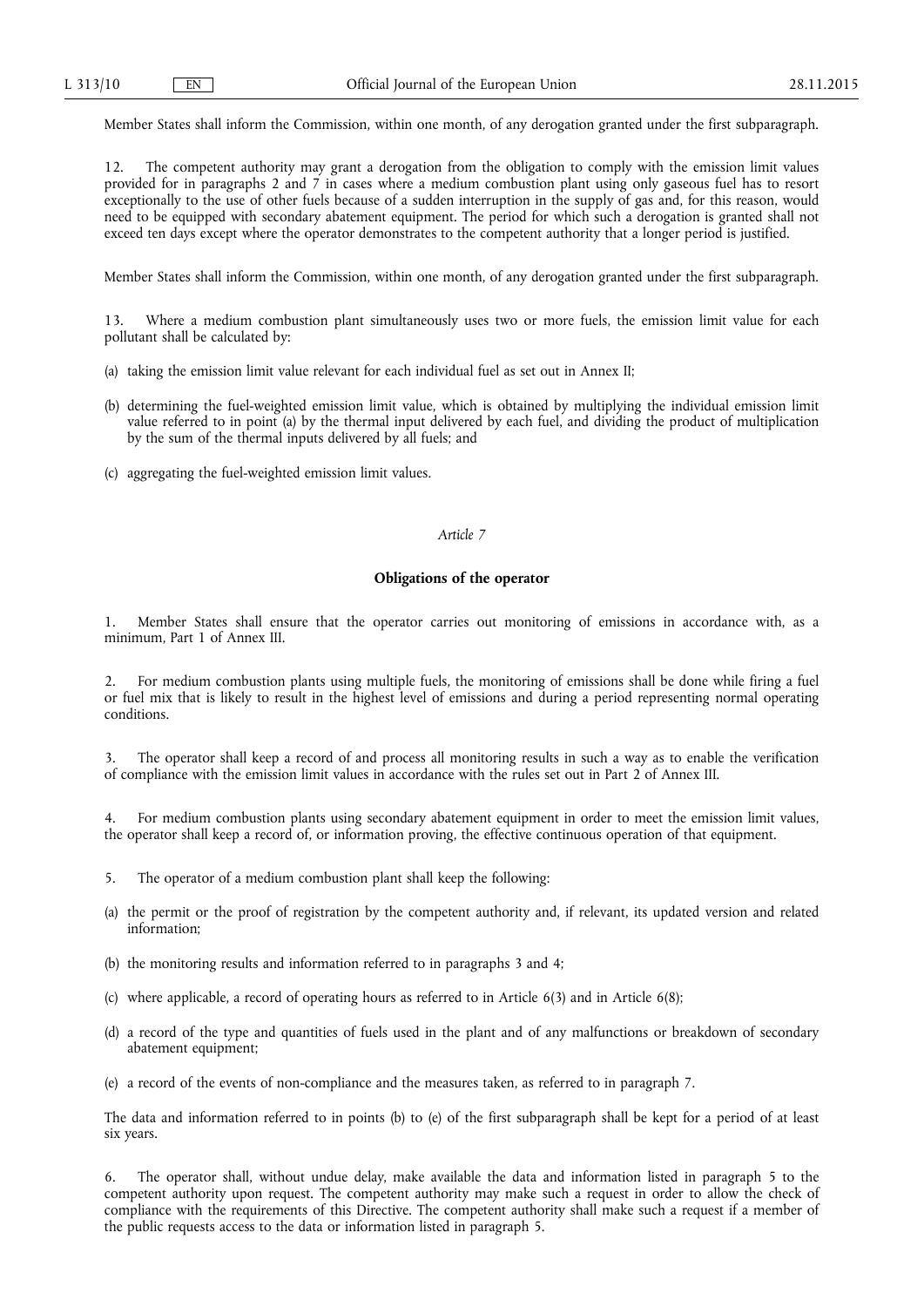Member States shall inform the Commission, within one month, of any derogation granted under the first subparagraph.

12. The competent authority may grant a derogation from the obligation to comply with the emission limit values provided for in paragraphs 2 and 7 in cases where a medium combustion plant using only gaseous fuel has to resort exceptionally to the use of other fuels because of a sudden interruption in the supply of gas and, for this reason, would need to be equipped with secondary abatement equipment. The period for which such a derogation is granted shall not exceed ten days except where the operator demonstrates to the competent authority that a longer period is justified.

Member States shall inform the Commission, within one month, of any derogation granted under the first subparagraph.

13. Where a medium combustion plant simultaneously uses two or more fuels, the emission limit value for each pollutant shall be calculated by:

- (a) taking the emission limit value relevant for each individual fuel as set out in Annex II;
- (b) determining the fuel-weighted emission limit value, which is obtained by multiplying the individual emission limit value referred to in point (a) by the thermal input delivered by each fuel, and dividing the product of multiplication by the sum of the thermal inputs delivered by all fuels; and
- (c) aggregating the fuel-weighted emission limit values.

#### *Article 7*

#### **Obligations of the operator**

1. Member States shall ensure that the operator carries out monitoring of emissions in accordance with, as a minimum, Part 1 of Annex III.

2. For medium combustion plants using multiple fuels, the monitoring of emissions shall be done while firing a fuel or fuel mix that is likely to result in the highest level of emissions and during a period representing normal operating conditions.

3. The operator shall keep a record of and process all monitoring results in such a way as to enable the verification of compliance with the emission limit values in accordance with the rules set out in Part 2 of Annex III.

For medium combustion plants using secondary abatement equipment in order to meet the emission limit values, the operator shall keep a record of, or information proving, the effective continuous operation of that equipment.

- 5. The operator of a medium combustion plant shall keep the following:
- (a) the permit or the proof of registration by the competent authority and, if relevant, its updated version and related information;
- (b) the monitoring results and information referred to in paragraphs 3 and 4;
- (c) where applicable, a record of operating hours as referred to in Article 6(3) and in Article 6(8);
- (d) a record of the type and quantities of fuels used in the plant and of any malfunctions or breakdown of secondary abatement equipment;
- (e) a record of the events of non-compliance and the measures taken, as referred to in paragraph 7.

The data and information referred to in points (b) to (e) of the first subparagraph shall be kept for a period of at least six years.

6. The operator shall, without undue delay, make available the data and information listed in paragraph 5 to the competent authority upon request. The competent authority may make such a request in order to allow the check of compliance with the requirements of this Directive. The competent authority shall make such a request if a member of the public requests access to the data or information listed in paragraph 5.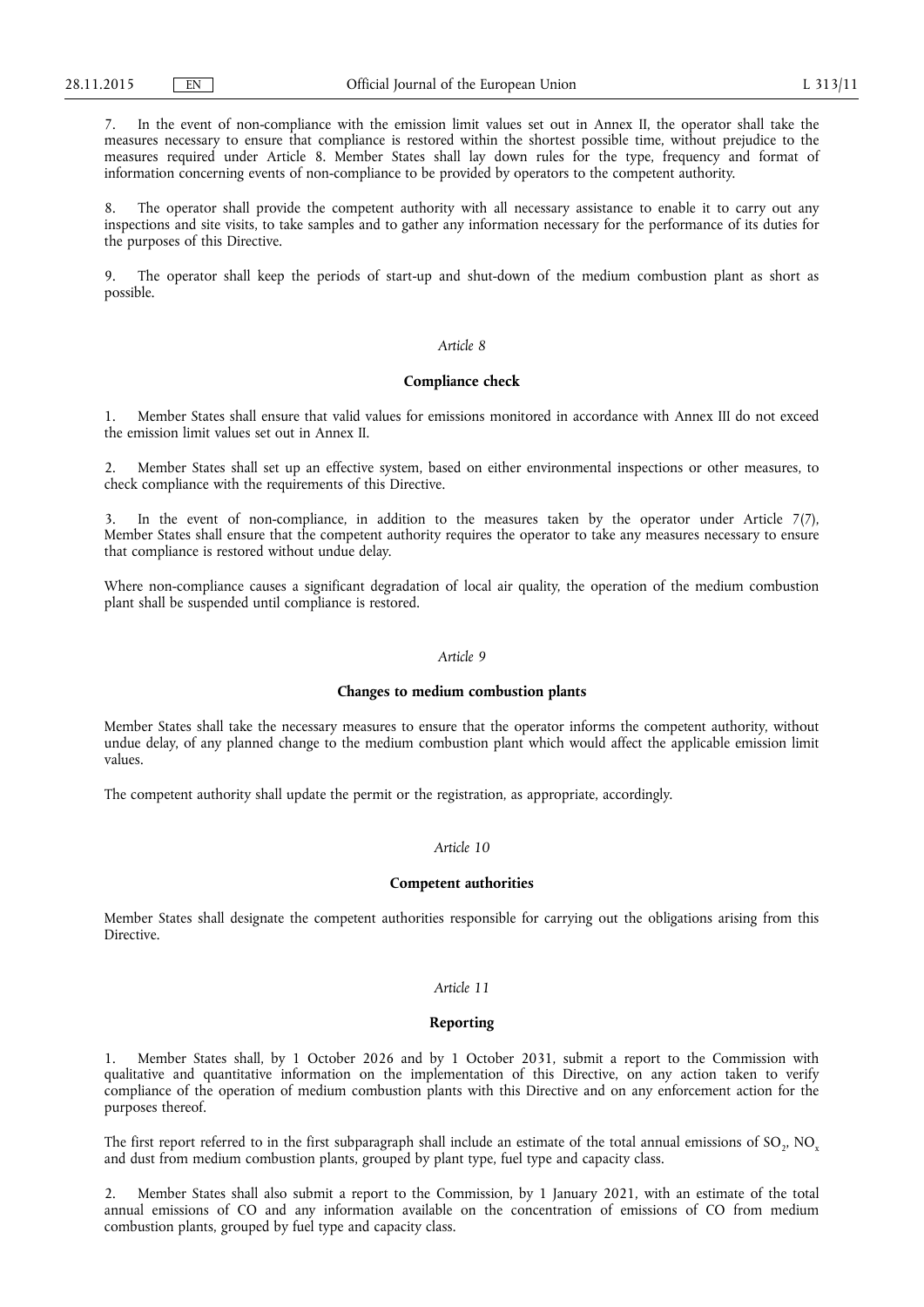7. In the event of non-compliance with the emission limit values set out in Annex II, the operator shall take the measures necessary to ensure that compliance is restored within the shortest possible time, without prejudice to the measures required under Article 8. Member States shall lay down rules for the type, frequency and format of information concerning events of non-compliance to be provided by operators to the competent authority.

The operator shall provide the competent authority with all necessary assistance to enable it to carry out any inspections and site visits, to take samples and to gather any information necessary for the performance of its duties for the purposes of this Directive.

9. The operator shall keep the periods of start-up and shut-down of the medium combustion plant as short as possible.

## *Article 8*

#### **Compliance check**

1. Member States shall ensure that valid values for emissions monitored in accordance with Annex III do not exceed the emission limit values set out in Annex II.

2. Member States shall set up an effective system, based on either environmental inspections or other measures, to check compliance with the requirements of this Directive.

In the event of non-compliance, in addition to the measures taken by the operator under Article  $7(7)$ , Member States shall ensure that the competent authority requires the operator to take any measures necessary to ensure that compliance is restored without undue delay.

Where non-compliance causes a significant degradation of local air quality, the operation of the medium combustion plant shall be suspended until compliance is restored.

## *Article 9*

#### **Changes to medium combustion plants**

Member States shall take the necessary measures to ensure that the operator informs the competent authority, without undue delay, of any planned change to the medium combustion plant which would affect the applicable emission limit values.

The competent authority shall update the permit or the registration, as appropriate, accordingly.

## *Article 10*

#### **Competent authorities**

Member States shall designate the competent authorities responsible for carrying out the obligations arising from this **Directive** 

## *Article 11*

#### **Reporting**

1. Member States shall, by 1 October 2026 and by 1 October 2031, submit a report to the Commission with qualitative and quantitative information on the implementation of this Directive, on any action taken to verify compliance of the operation of medium combustion plants with this Directive and on any enforcement action for the purposes thereof.

The first report referred to in the first subparagraph shall include an estimate of the total annual emissions of  $SO_2$ ,  $NO_x$ and dust from medium combustion plants, grouped by plant type, fuel type and capacity class.

2. Member States shall also submit a report to the Commission, by 1 January 2021, with an estimate of the total annual emissions of CO and any information available on the concentration of emissions of CO from medium combustion plants, grouped by fuel type and capacity class.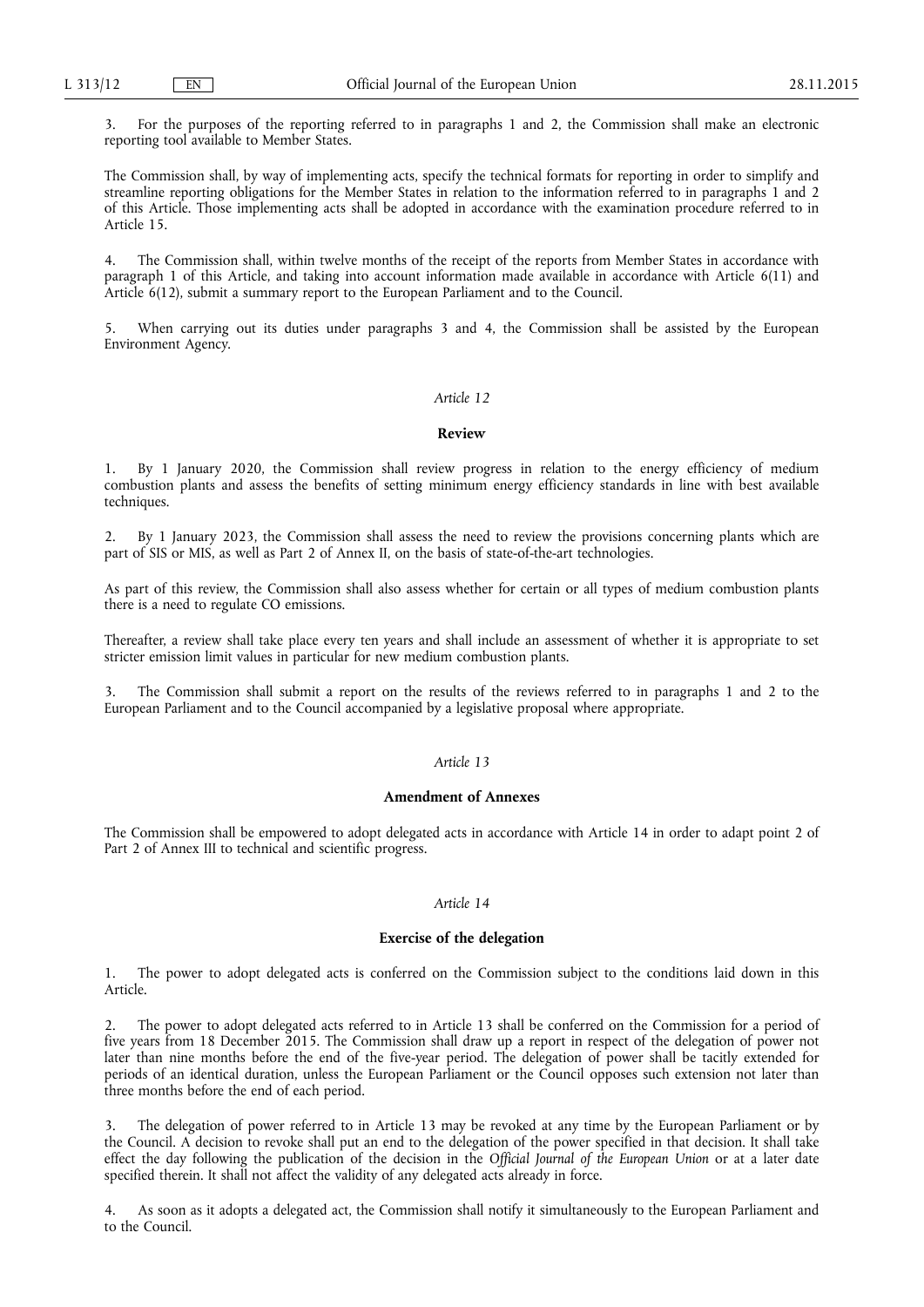3. For the purposes of the reporting referred to in paragraphs 1 and 2, the Commission shall make an electronic reporting tool available to Member States.

The Commission shall, by way of implementing acts, specify the technical formats for reporting in order to simplify and streamline reporting obligations for the Member States in relation to the information referred to in paragraphs 1 and 2 of this Article. Those implementing acts shall be adopted in accordance with the examination procedure referred to in Article 15.

4. The Commission shall, within twelve months of the receipt of the reports from Member States in accordance with paragraph 1 of this Article, and taking into account information made available in accordance with Article 6(11) and Article 6(12), submit a summary report to the European Parliament and to the Council.

When carrying out its duties under paragraphs 3 and 4, the Commission shall be assisted by the European Environment Agency.

## *Article 12*

#### **Review**

1. By 1 January 2020, the Commission shall review progress in relation to the energy efficiency of medium combustion plants and assess the benefits of setting minimum energy efficiency standards in line with best available techniques.

2. By 1 January 2023, the Commission shall assess the need to review the provisions concerning plants which are part of SIS or MIS, as well as Part 2 of Annex II, on the basis of state-of-the-art technologies.

As part of this review, the Commission shall also assess whether for certain or all types of medium combustion plants there is a need to regulate CO emissions.

Thereafter, a review shall take place every ten years and shall include an assessment of whether it is appropriate to set stricter emission limit values in particular for new medium combustion plants.

3. The Commission shall submit a report on the results of the reviews referred to in paragraphs 1 and 2 to the European Parliament and to the Council accompanied by a legislative proposal where appropriate.

## *Article 13*

## **Amendment of Annexes**

The Commission shall be empowered to adopt delegated acts in accordance with Article 14 in order to adapt point 2 of Part 2 of Annex III to technical and scientific progress.

#### *Article 14*

#### **Exercise of the delegation**

1. The power to adopt delegated acts is conferred on the Commission subject to the conditions laid down in this Article.

2. The power to adopt delegated acts referred to in Article 13 shall be conferred on the Commission for a period of five years from 18 December 2015. The Commission shall draw up a report in respect of the delegation of power not later than nine months before the end of the five-year period. The delegation of power shall be tacitly extended for periods of an identical duration, unless the European Parliament or the Council opposes such extension not later than three months before the end of each period.

3. The delegation of power referred to in Article 13 may be revoked at any time by the European Parliament or by the Council. A decision to revoke shall put an end to the delegation of the power specified in that decision. It shall take effect the day following the publication of the decision in the *Official Journal of the European Union* or at a later date specified therein. It shall not affect the validity of any delegated acts already in force.

4. As soon as it adopts a delegated act, the Commission shall notify it simultaneously to the European Parliament and to the Council.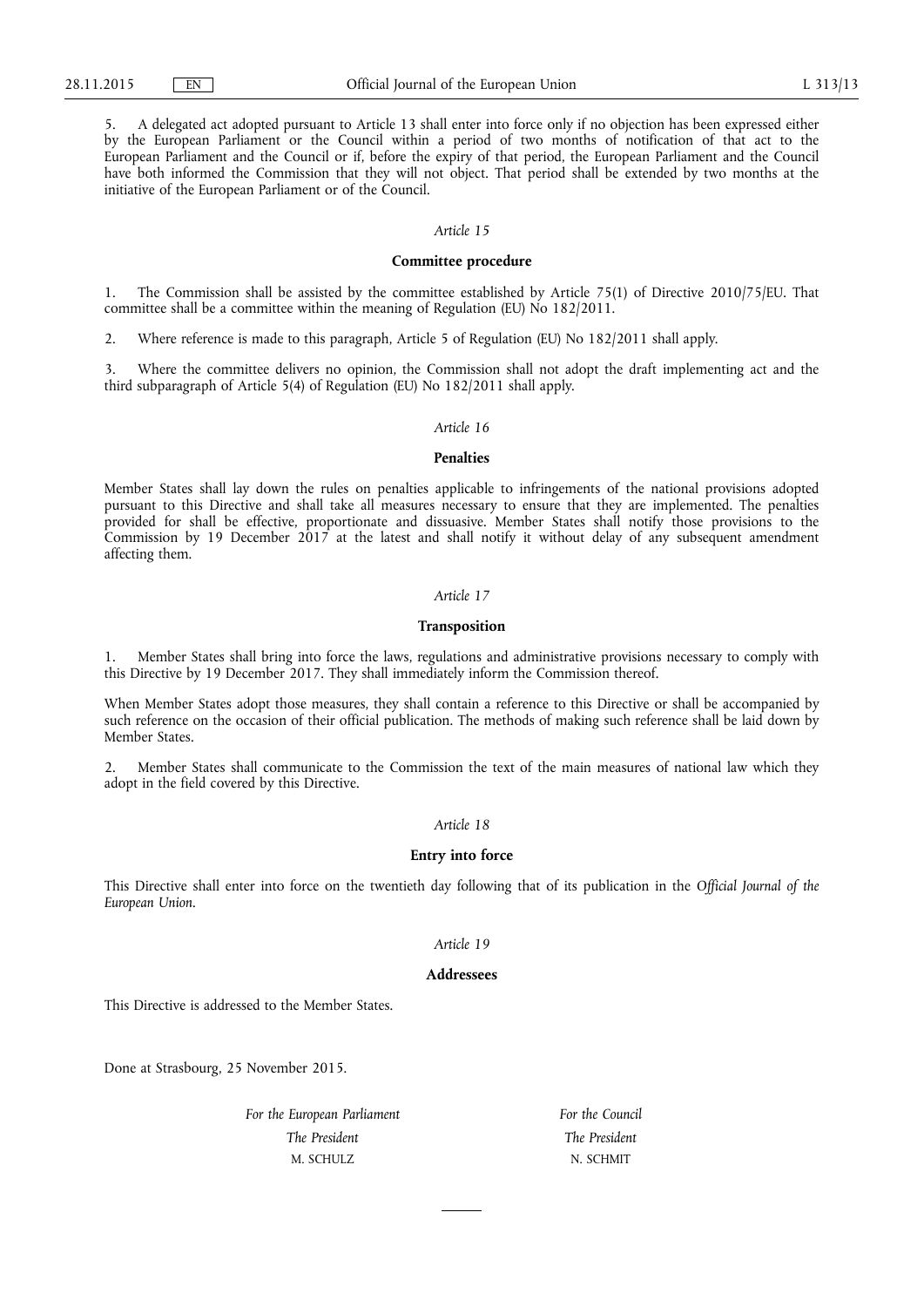5. A delegated act adopted pursuant to Article 13 shall enter into force only if no objection has been expressed either by the European Parliament or the Council within a period of two months of notification of that act to the European Parliament and the Council or if, before the expiry of that period, the European Parliament and the Council have both informed the Commission that they will not object. That period shall be extended by two months at the initiative of the European Parliament or of the Council.

#### *Article 15*

## **Committee procedure**

1. The Commission shall be assisted by the committee established by Article 75(1) of Directive 2010/75/EU. That committee shall be a committee within the meaning of Regulation (EU) No 182/2011.

2. Where reference is made to this paragraph, Article 5 of Regulation (EU) No 182/2011 shall apply.

3. Where the committee delivers no opinion, the Commission shall not adopt the draft implementing act and the third subparagraph of Article 5(4) of Regulation (EU) No 182/2011 shall apply.

#### *Article 16*

#### **Penalties**

Member States shall lay down the rules on penalties applicable to infringements of the national provisions adopted pursuant to this Directive and shall take all measures necessary to ensure that they are implemented. The penalties provided for shall be effective, proportionate and dissuasive. Member States shall notify those provisions to the Commission by 19 December  $2017$  at the latest and shall notify it without delay of any subsequent amendment affecting them.

#### *Article 17*

## **Transposition**

1. Member States shall bring into force the laws, regulations and administrative provisions necessary to comply with this Directive by 19 December 2017. They shall immediately inform the Commission thereof.

When Member States adopt those measures, they shall contain a reference to this Directive or shall be accompanied by such reference on the occasion of their official publication. The methods of making such reference shall be laid down by Member States.

2. Member States shall communicate to the Commission the text of the main measures of national law which they adopt in the field covered by this Directive.

## *Article 18*

#### **Entry into force**

This Directive shall enter into force on the twentieth day following that of its publication in the *Official Journal of the European Union*.

## *Article 19*

#### **Addressees**

This Directive is addressed to the Member States.

Done at Strasbourg, 25 November 2015.

*For the European Parliament The President*  M. SCHULZ

*For the Council The President*  N. SCHMIT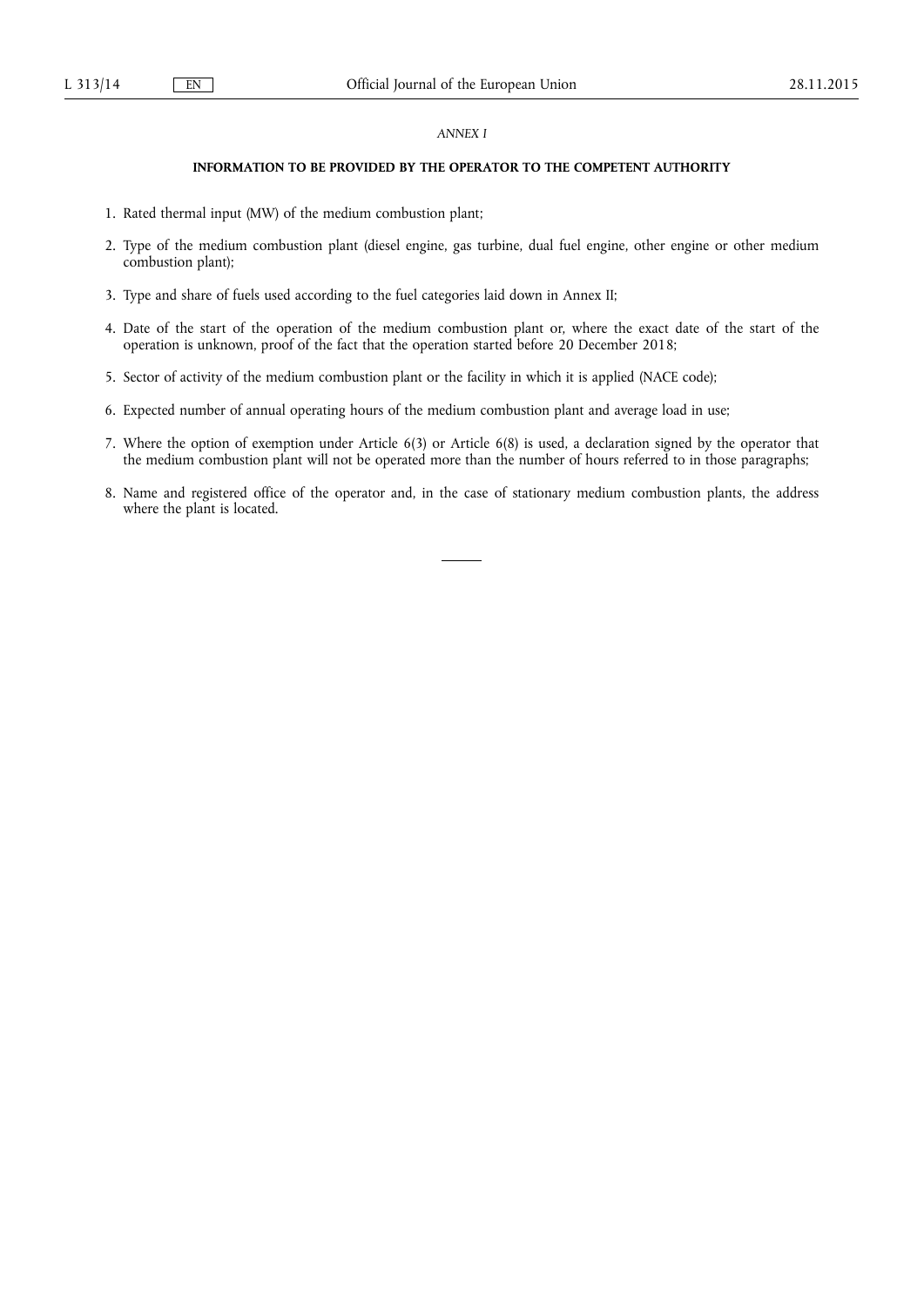### *ANNEX I*

## **INFORMATION TO BE PROVIDED BY THE OPERATOR TO THE COMPETENT AUTHORITY**

- 1. Rated thermal input (MW) of the medium combustion plant;
- 2. Type of the medium combustion plant (diesel engine, gas turbine, dual fuel engine, other engine or other medium combustion plant);
- 3. Type and share of fuels used according to the fuel categories laid down in Annex II;
- 4. Date of the start of the operation of the medium combustion plant or, where the exact date of the start of the operation is unknown, proof of the fact that the operation started before 20 December 2018;
- 5. Sector of activity of the medium combustion plant or the facility in which it is applied (NACE code);
- 6. Expected number of annual operating hours of the medium combustion plant and average load in use;
- 7. Where the option of exemption under Article 6(3) or Article 6(8) is used, a declaration signed by the operator that the medium combustion plant will not be operated more than the number of hours referred to in those paragraphs;
- 8. Name and registered office of the operator and, in the case of stationary medium combustion plants, the address where the plant is located.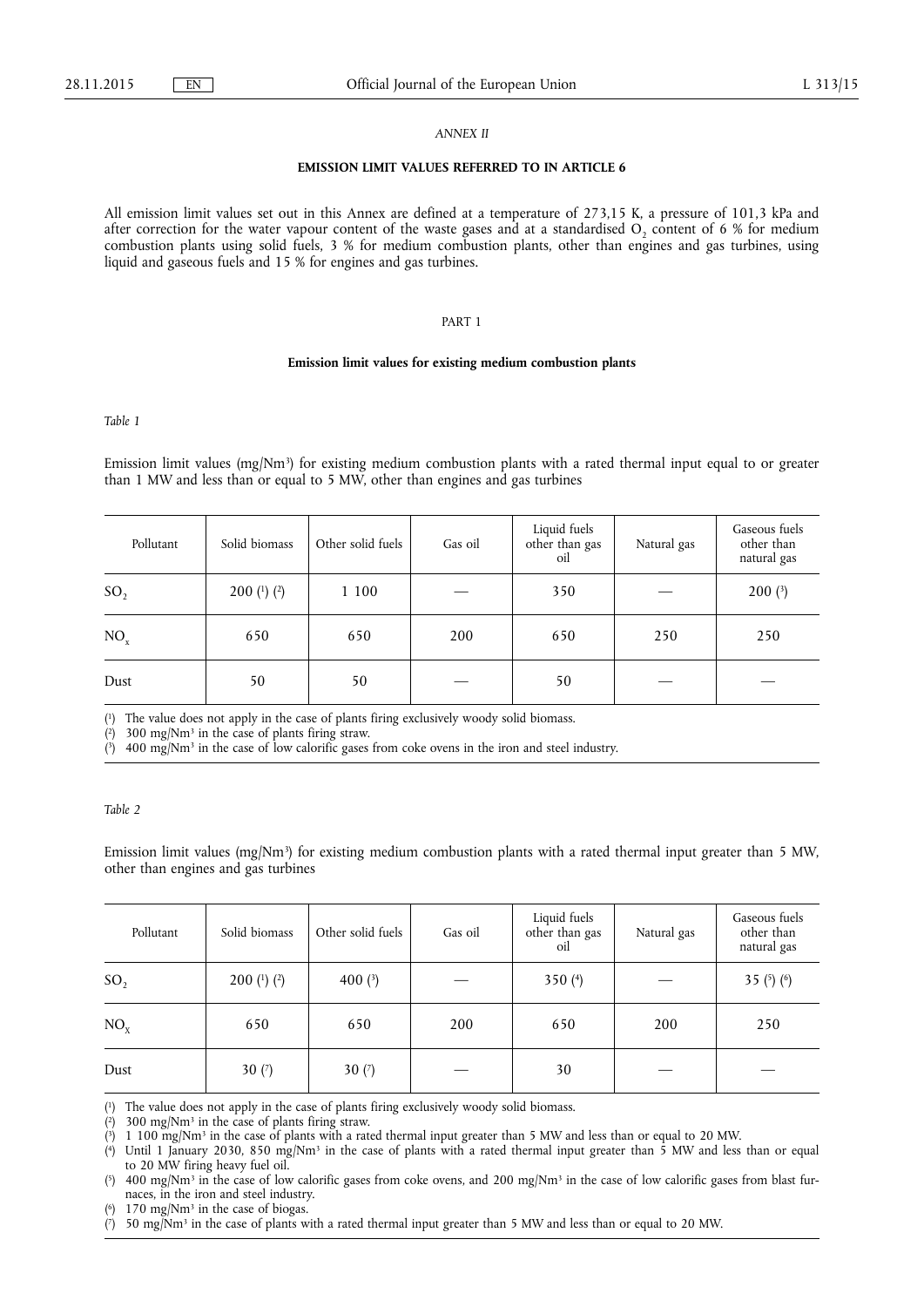### *ANNEX II*

## **EMISSION LIMIT VALUES REFERRED TO IN ARTICLE 6**

All emission limit values set out in this Annex are defined at a temperature of 273,15 K, a pressure of 101,3 kPa and after correction for the water vapour content of the waste gases and at a standardised  $O_2$  content of 6 % for medium combustion plants using solid fuels, 3 % for medium combustion plants, other than engines and gas turbines, using liquid and gaseous fuels and 15 % for engines and gas turbines.

#### PART 1

#### **Emission limit values for existing medium combustion plants**

*Table 1* 

Emission limit values (mg/Nm3) for existing medium combustion plants with a rated thermal input equal to or greater than 1 MW and less than or equal to 5 MW, other than engines and gas turbines

| Pollutant       | Solid biomass   | Other solid fuels | Gas oil | Liquid fuels<br>other than gas<br>oil | Natural gas | Gaseous fuels<br>other than<br>natural gas |
|-----------------|-----------------|-------------------|---------|---------------------------------------|-------------|--------------------------------------------|
| SO <sub>2</sub> | 200 $(1)$ $(2)$ | 1 100             |         | 350                                   |             | $200$ $(3)$                                |
| NO <sub>x</sub> | 650             | 650               | 200     | 650                                   | 250         | 250                                        |
| Dust            | 50              | 50                |         | 50                                    |             |                                            |

( 1) The value does not apply in the case of plants firing exclusively woody solid biomass.

 $(2)$ 300 mg/ $Nm^3$  in the case of plants firing straw.

 $(3)$ 400 mg/Nm<sup>3</sup> in the case of low calorific gases from coke ovens in the iron and steel industry.

## *Table 2*

Emission limit values (mg/Nm<sup>3</sup>) for existing medium combustion plants with a rated thermal input greater than 5 MW, other than engines and gas turbines

| Pollutant       | Solid biomass | Other solid fuels | Gas oil | Liquid fuels<br>other than gas<br>oil | Natural gas | Gaseous fuels<br>other than<br>natural gas |
|-----------------|---------------|-------------------|---------|---------------------------------------|-------------|--------------------------------------------|
| SO <sub>2</sub> | 200 (1) (2)   | 400 $(3)$         |         | 350 $(4)$                             |             | 35 $(5)(6)$                                |
| NO <sub>x</sub> | 650           | 650               | 200     | 650                                   | 200         | 250                                        |
| Dust            | 30 $(7)$      | 30 $(7)$          |         | 30                                    |             |                                            |

( The value does not apply in the case of plants firing exclusively woody solid biomass.

 $(2)$ 2) 300 mg/Nm3 in the case of plants firing straw.

 $(3)$ 3) 1 100 mg/Nm3 in the case of plants with a rated thermal input greater than 5 MW and less than or equal to 20 MW.

 $(4)$ Until 1 January 2030, 850 mg/Nm<sup>3</sup> in the case of plants with a rated thermal input greater than 5 MW and less than or equal to 20 MW firing heavy fuel oil.

 $(5)$ 5) 400 mg/Nm3 in the case of low calorific gases from coke ovens, and 200 mg/Nm3 in the case of low calorific gases from blast furnaces, in the iron and steel industry.

( 170 mg/Nm<sup>3</sup> in the case of biogas.

 $(7)$ 7) 50 mg/Nm3 in the case of plants with a rated thermal input greater than 5 MW and less than or equal to 20 MW.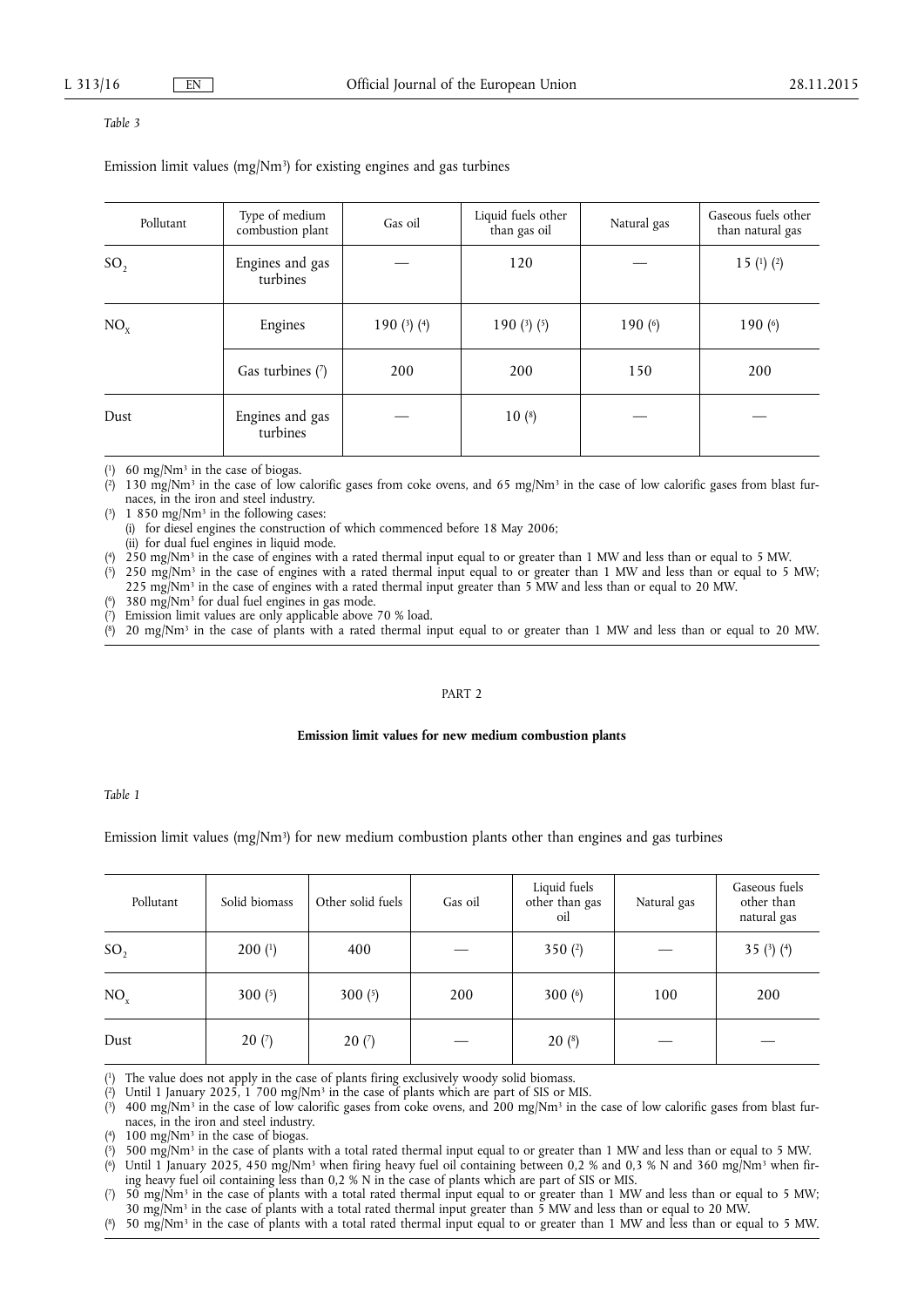#### *Table 3*

Emission limit values (mg/Nm3) for existing engines and gas turbines

| Pollutant       | Type of medium<br>combustion plant | Gas oil         | Liquid fuels other<br>than gas oil | Natural gas | Gaseous fuels other<br>than natural gas |
|-----------------|------------------------------------|-----------------|------------------------------------|-------------|-----------------------------------------|
| SO <sub>2</sub> | Engines and gas<br>turbines        |                 | 120                                |             | 15 $(1)$ $(2)$                          |
| NO <sub>x</sub> | Engines                            | 190 $(3)$ $(4)$ | 190 $(3)(5)$                       | 190 $(6)$   | 190 $(6)$                               |
|                 | Gas turbines (7)                   | 200             | 200                                | 150         | 200                                     |
| Dust            | Engines and gas<br>turbines        |                 | $10(*)$                            |             |                                         |

 $(1)$  60 mg/Nm<sup>3</sup> in the case of biogas.

( 2) 130 mg/Nm3 in the case of low calorific gases from coke ovens, and 65 mg/Nm3 in the case of low calorific gases from blast furnaces, in the iron and steel industry.

 $(3)$  1 850 mg/Nm<sup>3</sup> in the following cases:

(i) for diesel engines the construction of which commenced before 18 May 2006;

(ii) for dual fuel engines in liquid mode.

( 4) 250 mg/Nm3 in the case of engines with a rated thermal input equal to or greater than 1 MW and less than or equal to 5 MW.

(  $250 \text{ mg/Nm}^3$  in the case of engines with a rated thermal input equal to or greater than 1 MW and less than or equal to 5 MW; 225 mg/Nm3 in the case of engines with a rated thermal input greater than 5 MW and less than or equal to 20 MW.

( 380 mg/Nm<sup>3</sup> for dual fuel engines in gas mode.

 $(7)$ Emission limit values are only applicable above 70 % load.

 $<sup>(8)</sup>$ </sup> 8) 20 mg/Nm3 in the case of plants with a rated thermal input equal to or greater than 1 MW and less than or equal to 20 MW.

#### PART 2

#### **Emission limit values for new medium combustion plants**

*Table 1* 

## Emission limit values (mg/Nm<sup>3</sup>) for new medium combustion plants other than engines and gas turbines

| Pollutant       | Solid biomass          | Other solid fuels | Gas oil | Liquid fuels<br>other than gas<br>oil | Natural gas | Gaseous fuels<br>other than<br>natural gas |
|-----------------|------------------------|-------------------|---------|---------------------------------------|-------------|--------------------------------------------|
| SO <sub>2</sub> | $200$ ( <sup>1</sup> ) | 400               |         | 350 $(2)$                             |             | 35 $(3)(4)$                                |
| NO <sub>x</sub> | 300 $(5)$              | 300 $(5)$         | 200     | 300 $(6)$                             | 100         | 200                                        |
| Dust            | 20(7)                  | 20(7)             |         | $20(*)$                               |             |                                            |

( The value does not apply in the case of plants firing exclusively woody solid biomass.

 $(2)$ Until 1 January 2025, 1 700 mg/Nm<sup>3</sup> in the case of plants which are part of SIS or MIS.

 $(3)$ 3) 400 mg/Nm3 in the case of low calorific gases from coke ovens, and 200 mg/Nm3 in the case of low calorific gases from blast furnaces, in the iron and steel industry.

(  $100 \text{ mg}/\text{Nm}^3$  in the case of biogas.

( 5) 500 mg/Nm3 in the case of plants with a total rated thermal input equal to or greater than 1 MW and less than or equal to 5 MW.

 $(6)$ Until 1 January 2025, 450 mg/Nm<sup>3</sup> when firing heavy fuel oil containing between 0,2 % and 0,3 % N and 360 mg/Nm<sup>3</sup> when firing heavy fuel oil containing less than 0,2 % N in the case of plants which are part of SIS or MIS.

 $(7)$ 7) 50 mg/Nm3 in the case of plants with a total rated thermal input equal to or greater than 1 MW and less than or equal to 5 MW; 30 mg/Nm3 in the case of plants with a total rated thermal input greater than 5 MW and less than or equal to 20 MW.

( 8) 50 mg/Nm3 in the case of plants with a total rated thermal input equal to or greater than 1 MW and less than or equal to 5 MW.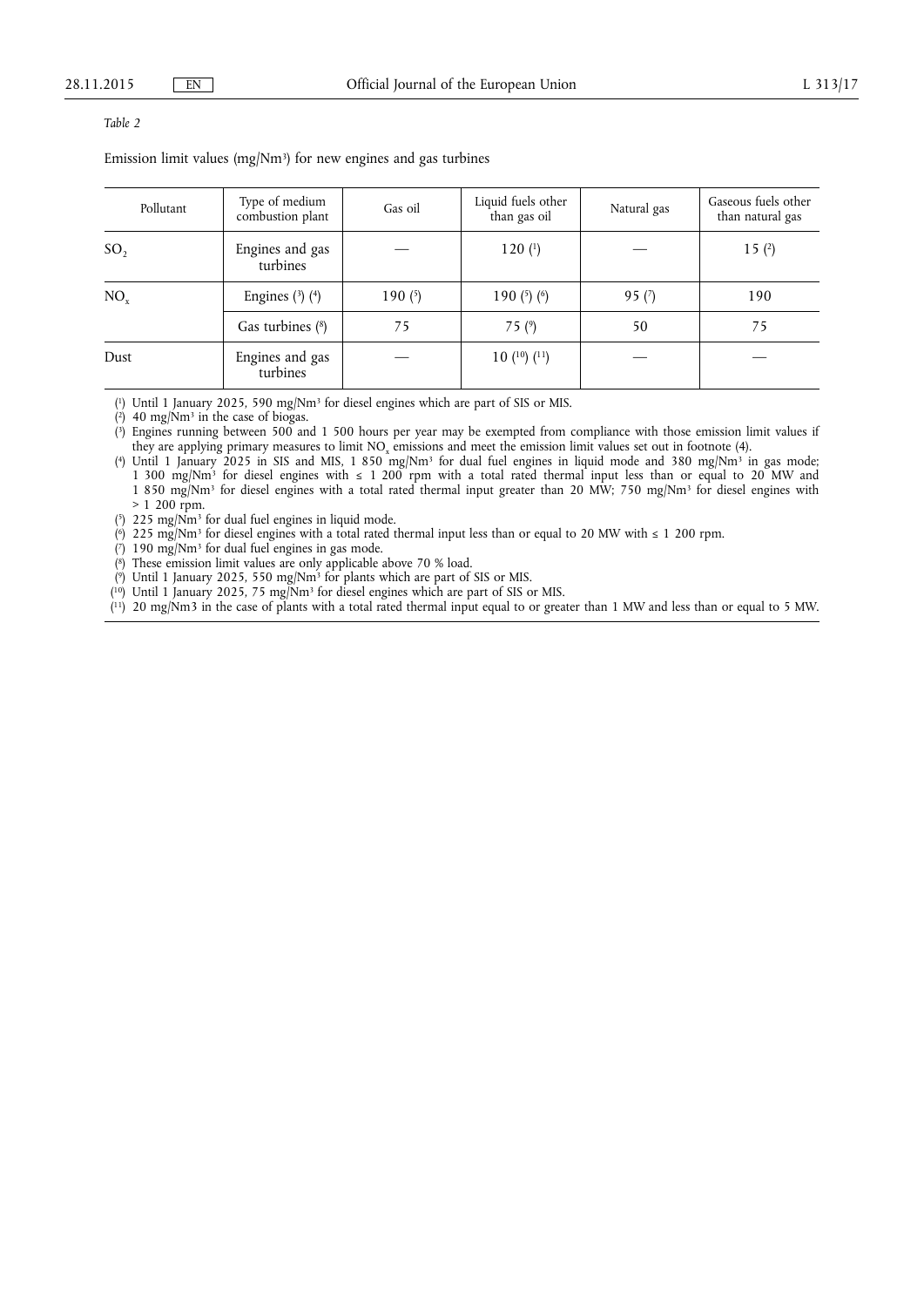## *Table 2*

Emission limit values (mg/Nm<sup>3</sup>) for new engines and gas turbines

| Pollutant       | Type of medium<br>combustion plant | Gas oil   | Liquid fuels other<br>than gas oil | Natural gas | Gaseous fuels other<br>than natural gas |
|-----------------|------------------------------------|-----------|------------------------------------|-------------|-----------------------------------------|
| SO <sub>2</sub> | Engines and gas<br>turbines        |           | 120(1)                             |             | 15(2)                                   |
| NO <sub>r</sub> | Engines $(3)$ $(4)$                | 190 $(5)$ | 190 $(5)$ $(6)$                    | 95 $(7)$    | 190                                     |
|                 | Gas turbines (8)                   | 75        | 75 $(9)$                           | 50          | 75                                      |
| Dust            | Engines and gas<br>turbines        |           | 10(10(11))                         |             |                                         |

( 1) Until 1 January 2025, 590 mg/Nm3 for diesel engines which are part of SIS or MIS.

 $(2)$  40 mg/Nm<sup>3</sup> in the case of biogas.

( 3) Engines running between 500 and 1 500 hours per year may be exempted from compliance with those emission limit values if they are applying primary measures to limit NOx emissions and meet the emission limit values set out in footnote (4).

( 4) Until 1 January 2025 in SIS and MIS, 1 850 mg/Nm3 for dual fuel engines in liquid mode and 380 mg/Nm3 in gas mode; 1 300 mg/Nm3 for diesel engines with ≤ 1 200 rpm with a total rated thermal input less than or equal to 20 MW and 1 850 mg/Nm3 for diesel engines with a total rated thermal input greater than 20 MW; 750 mg/Nm3 for diesel engines with  $> 1,200$  rpm.

 $(5)$  225 mg/Nm<sup>3</sup> for dual fuel engines in liquid mode.

(<sup>6</sup>) 225 mg/Nm<sup>3</sup> for diesel engines with a total rated thermal input less than or equal to 20 MW with  $\leq 1$  200 rpm.

 $(7)$  190 mg/Nm<sup>3</sup> for dual fuel engines in gas mode.

( 8) These emission limit values are only applicable above 70 % load.

( 9) Until 1 January 2025, 550 mg/Nm3 for plants which are part of SIS or MIS.

( 10) Until 1 January 2025, 75 mg/Nm3 for diesel engines which are part of SIS or MIS.

( 11) 20 mg/Nm3 in the case of plants with a total rated thermal input equal to or greater than 1 MW and less than or equal to 5 MW.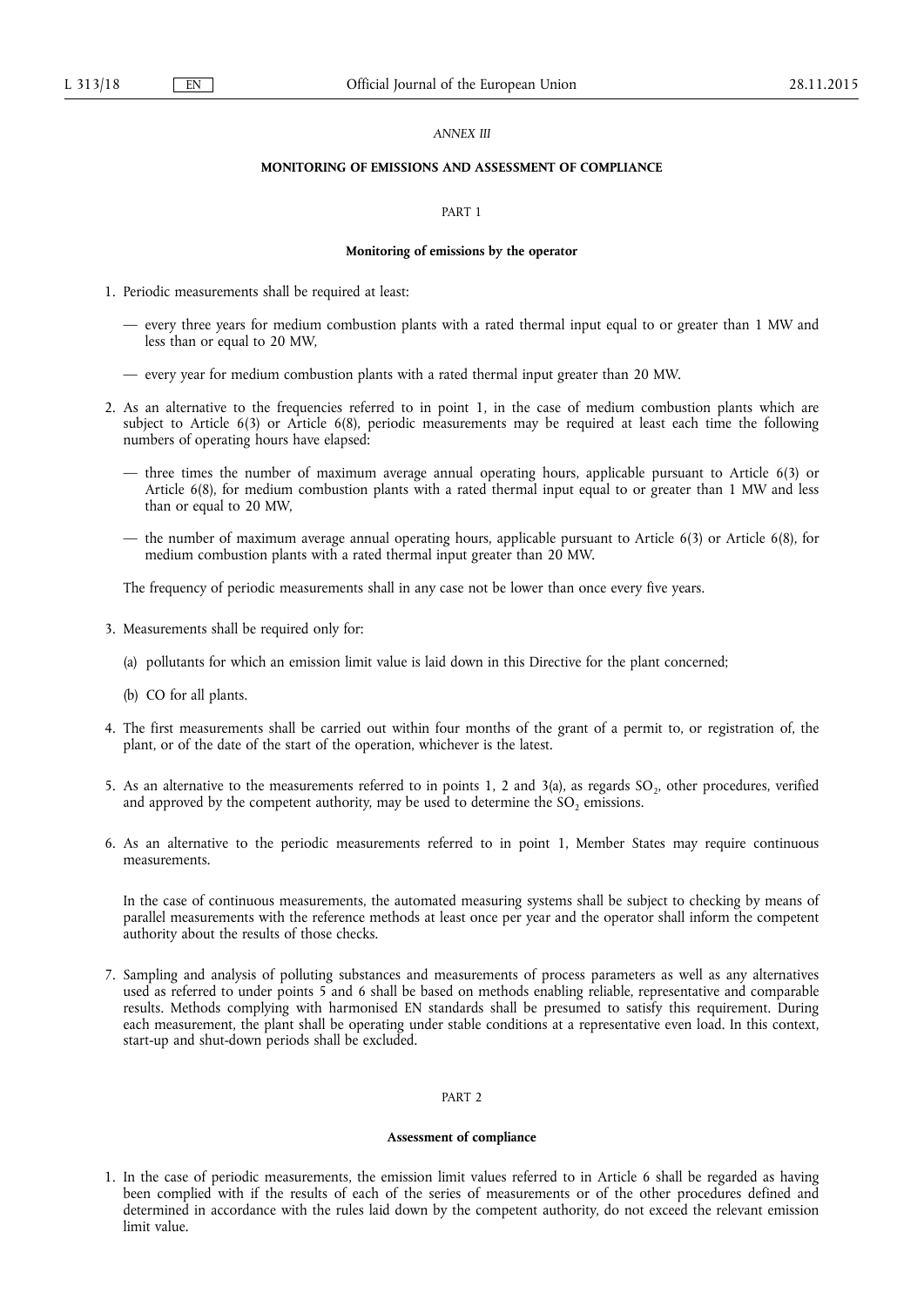#### *ANNEX III*

#### **MONITORING OF EMISSIONS AND ASSESSMENT OF COMPLIANCE**

#### PART 1

#### **Monitoring of emissions by the operator**

- 1. Periodic measurements shall be required at least:
	- every three years for medium combustion plants with a rated thermal input equal to or greater than 1 MW and less than or equal to 20 MW,
	- every year for medium combustion plants with a rated thermal input greater than 20 MW.
- 2. As an alternative to the frequencies referred to in point 1, in the case of medium combustion plants which are subject to Article 6(3) or Article 6(8), periodic measurements may be required at least each time the following numbers of operating hours have elapsed:
	- three times the number of maximum average annual operating hours, applicable pursuant to Article 6(3) or Article 6(8), for medium combustion plants with a rated thermal input equal to or greater than 1 MW and less than or equal to 20 MW,
	- the number of maximum average annual operating hours, applicable pursuant to Article 6(3) or Article 6(8), for medium combustion plants with a rated thermal input greater than 20 MW.

The frequency of periodic measurements shall in any case not be lower than once every five years.

- 3. Measurements shall be required only for:
	- (a) pollutants for which an emission limit value is laid down in this Directive for the plant concerned;
	- (b) CO for all plants.
- 4. The first measurements shall be carried out within four months of the grant of a permit to, or registration of, the plant, or of the date of the start of the operation, whichever is the latest.
- 5. As an alternative to the measurements referred to in points 1, 2 and 3(a), as regards  $SO_2$ , other procedures, verified and approved by the competent authority, may be used to determine the  $SO_2$  emissions.
- 6. As an alternative to the periodic measurements referred to in point 1, Member States may require continuous measurements.

In the case of continuous measurements, the automated measuring systems shall be subject to checking by means of parallel measurements with the reference methods at least once per year and the operator shall inform the competent authority about the results of those checks.

7. Sampling and analysis of polluting substances and measurements of process parameters as well as any alternatives used as referred to under points 5 and 6 shall be based on methods enabling reliable, representative and comparable results. Methods complying with harmonised EN standards shall be presumed to satisfy this requirement. During each measurement, the plant shall be operating under stable conditions at a representative even load. In this context, start-up and shut-down periods shall be excluded.

## PART 2

### **Assessment of compliance**

1. In the case of periodic measurements, the emission limit values referred to in Article 6 shall be regarded as having been complied with if the results of each of the series of measurements or of the other procedures defined and determined in accordance with the rules laid down by the competent authority, do not exceed the relevant emission limit value.